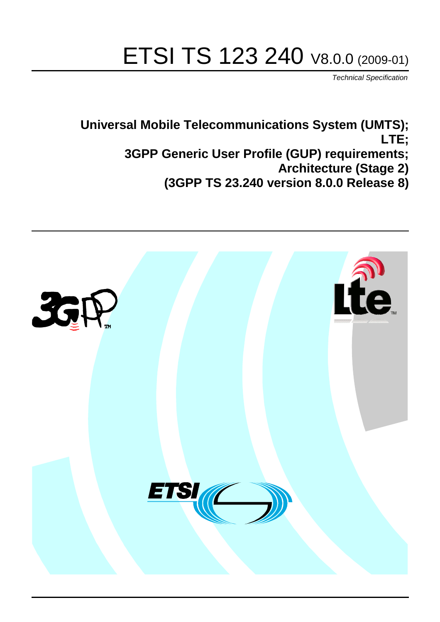# ETSI TS 123 240 V8.0.0 (2009-01)

*Technical Specification*

**Universal Mobile Telecommunications System (UMTS); LTE; 3GPP Generic User Profile (GUP) requirements; Architecture (Stage 2) (3GPP TS 23.240 version 8.0.0 Release 8)**

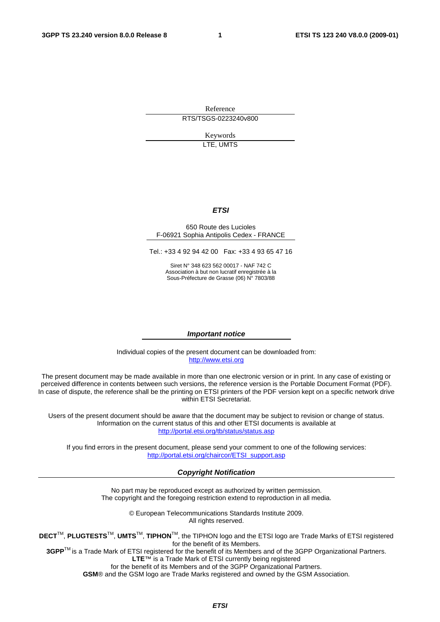Reference RTS/TSGS-0223240v800

> Keywords LTE, UMTS

#### *ETSI*

#### 650 Route des Lucioles F-06921 Sophia Antipolis Cedex - FRANCE

Tel.: +33 4 92 94 42 00 Fax: +33 4 93 65 47 16

Siret N° 348 623 562 00017 - NAF 742 C Association à but non lucratif enregistrée à la Sous-Préfecture de Grasse (06) N° 7803/88

#### *Important notice*

Individual copies of the present document can be downloaded from: [http://www.etsi.org](http://www.etsi.org/)

The present document may be made available in more than one electronic version or in print. In any case of existing or perceived difference in contents between such versions, the reference version is the Portable Document Format (PDF). In case of dispute, the reference shall be the printing on ETSI printers of the PDF version kept on a specific network drive within ETSI Secretariat.

Users of the present document should be aware that the document may be subject to revision or change of status. Information on the current status of this and other ETSI documents is available at <http://portal.etsi.org/tb/status/status.asp>

If you find errors in the present document, please send your comment to one of the following services: [http://portal.etsi.org/chaircor/ETSI\\_support.asp](http://portal.etsi.org/chaircor/ETSI_support.asp)

#### *Copyright Notification*

No part may be reproduced except as authorized by written permission. The copyright and the foregoing restriction extend to reproduction in all media.

> © European Telecommunications Standards Institute 2009. All rights reserved.

**DECT**TM, **PLUGTESTS**TM, **UMTS**TM, **TIPHON**TM, the TIPHON logo and the ETSI logo are Trade Marks of ETSI registered for the benefit of its Members.

**3GPP**TM is a Trade Mark of ETSI registered for the benefit of its Members and of the 3GPP Organizational Partners. **LTE**™ is a Trade Mark of ETSI currently being registered

for the benefit of its Members and of the 3GPP Organizational Partners.

**GSM**® and the GSM logo are Trade Marks registered and owned by the GSM Association.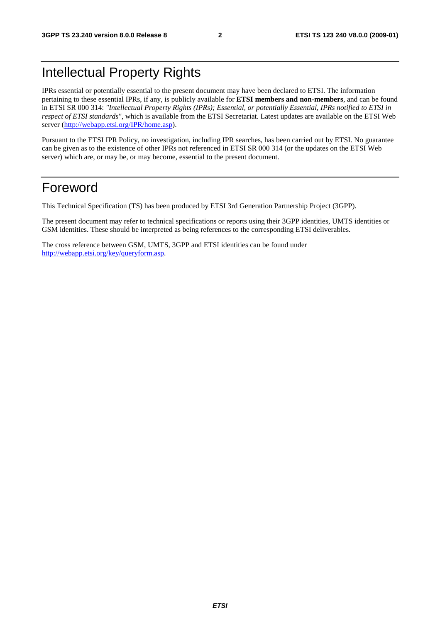# Intellectual Property Rights

IPRs essential or potentially essential to the present document may have been declared to ETSI. The information pertaining to these essential IPRs, if any, is publicly available for **ETSI members and non-members**, and can be found in ETSI SR 000 314: *"Intellectual Property Rights (IPRs); Essential, or potentially Essential, IPRs notified to ETSI in respect of ETSI standards"*, which is available from the ETSI Secretariat. Latest updates are available on the ETSI Web server [\(http://webapp.etsi.org/IPR/home.asp\)](http://webapp.etsi.org/IPR/home.asp).

Pursuant to the ETSI IPR Policy, no investigation, including IPR searches, has been carried out by ETSI. No guarantee can be given as to the existence of other IPRs not referenced in ETSI SR 000 314 (or the updates on the ETSI Web server) which are, or may be, or may become, essential to the present document.

# Foreword

This Technical Specification (TS) has been produced by ETSI 3rd Generation Partnership Project (3GPP).

The present document may refer to technical specifications or reports using their 3GPP identities, UMTS identities or GSM identities. These should be interpreted as being references to the corresponding ETSI deliverables.

The cross reference between GSM, UMTS, 3GPP and ETSI identities can be found under [http://webapp.etsi.org/key/queryform.asp.](http://webapp.etsi.org/key/queryform.asp)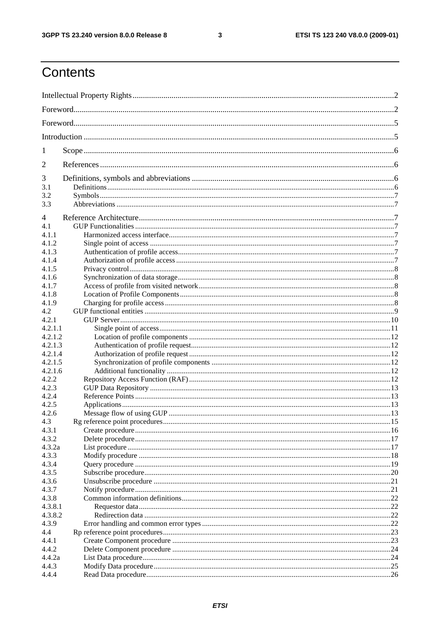#### $\mathbf{3}$

# Contents

| 1              |  |
|----------------|--|
| 2              |  |
| 3              |  |
| 3.1            |  |
| 3.2            |  |
| 3.3            |  |
| $\overline{4}$ |  |
| 4.1            |  |
| 4.1.1          |  |
| 4.1.2          |  |
| 4.1.3          |  |
| 4.1.4          |  |
| 4.1.5          |  |
| 4.1.6          |  |
| 4.1.7          |  |
| 4.1.8          |  |
| 4.1.9          |  |
| 4.2            |  |
| 4.2.1          |  |
| 4.2.1.1        |  |
| 4.2.1.2        |  |
| 4.2.1.3        |  |
| 4.2.1.4        |  |
| 4.2.1.5        |  |
| 4.2.1.6        |  |
| 4.2.2          |  |
| 4.2.3          |  |
| 4.2.4          |  |
| 4.2.5          |  |
| 4.2.6          |  |
| 4.3            |  |
| 4.3.1          |  |
| 4.3.2          |  |
| 4.3.2a         |  |
| 4.3.3          |  |
| 4.3.4          |  |
| 4.3.5          |  |
| 4.3.6          |  |
| 4.3.7          |  |
| 4.3.8          |  |
| 4.3.8.1        |  |
| 4.3.8.2        |  |
| 4.3.9          |  |
| 4.4            |  |
| 4.4.1          |  |
| 4.4.2          |  |
| 4.4.2a         |  |
| 4.4.3          |  |
| 4.4.4          |  |
|                |  |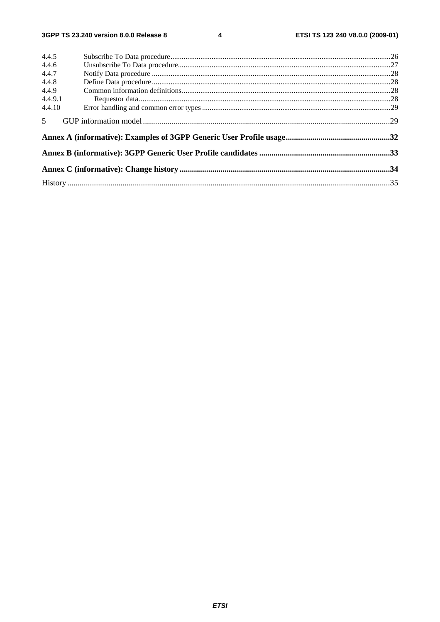$\overline{\mathbf{4}}$ 

| 4.4.5          |  |
|----------------|--|
| 4.4.6          |  |
| 4.4.7          |  |
| 4.4.8          |  |
| 4.4.9          |  |
| 4.4.9.1        |  |
| 4.4.10         |  |
| 5 <sup>5</sup> |  |
|                |  |
|                |  |
|                |  |
|                |  |
|                |  |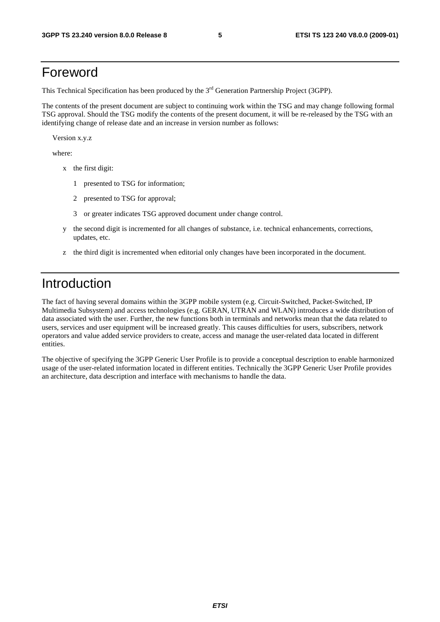# Foreword

This Technical Specification has been produced by the 3<sup>rd</sup> Generation Partnership Project (3GPP).

The contents of the present document are subject to continuing work within the TSG and may change following formal TSG approval. Should the TSG modify the contents of the present document, it will be re-released by the TSG with an identifying change of release date and an increase in version number as follows:

Version x.y.z

where:

- x the first digit:
	- 1 presented to TSG for information;
	- 2 presented to TSG for approval;
	- 3 or greater indicates TSG approved document under change control.
- y the second digit is incremented for all changes of substance, i.e. technical enhancements, corrections, updates, etc.
- z the third digit is incremented when editorial only changes have been incorporated in the document.

# Introduction

The fact of having several domains within the 3GPP mobile system (e.g. Circuit-Switched, Packet-Switched, IP Multimedia Subsystem) and access technologies (e.g. GERAN, UTRAN and WLAN) introduces a wide distribution of data associated with the user. Further, the new functions both in terminals and networks mean that the data related to users, services and user equipment will be increased greatly. This causes difficulties for users, subscribers, network operators and value added service providers to create, access and manage the user-related data located in different entities.

The objective of specifying the 3GPP Generic User Profile is to provide a conceptual description to enable harmonized usage of the user-related information located in different entities. Technically the 3GPP Generic User Profile provides an architecture, data description and interface with mechanisms to handle the data.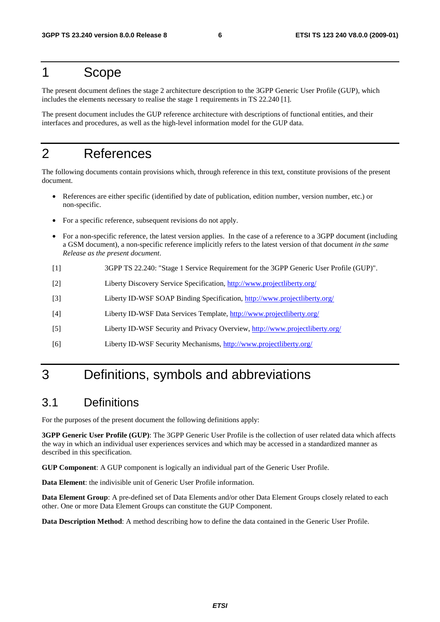# 1 Scope

The present document defines the stage 2 architecture description to the 3GPP Generic User Profile (GUP), which includes the elements necessary to realise the stage 1 requirements in TS 22.240 [1].

The present document includes the GUP reference architecture with descriptions of functional entities, and their interfaces and procedures, as well as the high-level information model for the GUP data.

# 2 References

The following documents contain provisions which, through reference in this text, constitute provisions of the present document.

- References are either specific (identified by date of publication, edition number, version number, etc.) or non-specific.
- For a specific reference, subsequent revisions do not apply.
- For a non-specific reference, the latest version applies. In the case of a reference to a 3GPP document (including a GSM document), a non-specific reference implicitly refers to the latest version of that document *in the same Release as the present document*.
- [1] 3GPP TS 22.240: "Stage 1 Service Requirement for the 3GPP Generic User Profile (GUP)".
- [2] Liberty Discovery Service Specification,<http://www.projectliberty.org/>
- [3] Liberty ID-WSF SOAP Binding Specification,<http://www.projectliberty.org/>
- [4] Liberty ID-WSF Data Services Template,<http://www.projectliberty.org/>
- [5] Liberty ID-WSF Security and Privacy Overview,<http://www.projectliberty.org/>
- [6] Liberty ID-WSF Security Mechanisms,<http://www.projectliberty.org/>

# 3 Definitions, symbols and abbreviations

### 3.1 Definitions

For the purposes of the present document the following definitions apply:

**3GPP Generic User Profile (GUP)**: The 3GPP Generic User Profile is the collection of user related data which affects the way in which an individual user experiences services and which may be accessed in a standardized manner as described in this specification.

**GUP Component**: A GUP component is logically an individual part of the Generic User Profile.

**Data Element**: the indivisible unit of Generic User Profile information.

**Data Element Group**: A pre-defined set of Data Elements and/or other Data Element Groups closely related to each other. One or more Data Element Groups can constitute the GUP Component.

**Data Description Method**: A method describing how to define the data contained in the Generic User Profile.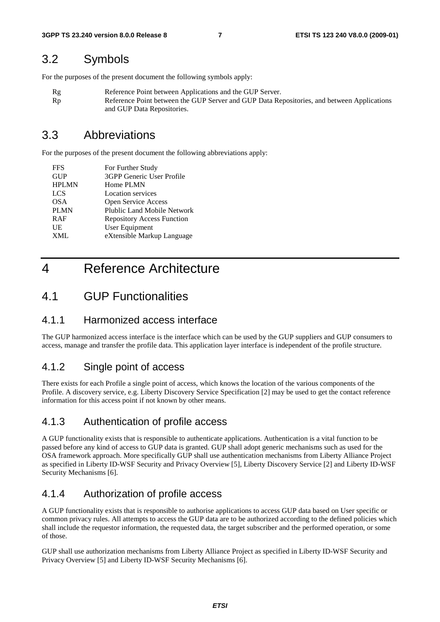### 3.2 Symbols

For the purposes of the present document the following symbols apply:

Rg Reference Point between Applications and the GUP Server. Rp Reference Point between the GUP Server and GUP Data Repositories, and between Applications and GUP Data Repositories.

### 3.3 Abbreviations

For the purposes of the present document the following abbreviations apply:

| <b>FFS</b>   | For Further Study                 |
|--------------|-----------------------------------|
| <b>GUP</b>   | 3GPP Generic User Profile         |
| <b>HPLMN</b> | Home PLMN                         |
| <b>LCS</b>   | <b>Location services</b>          |
| <b>OSA</b>   | Open Service Access               |
| <b>PLMN</b>  | Plublic Land Mobile Network       |
| <b>RAF</b>   | <b>Repository Access Function</b> |
| UE           | User Equipment                    |
| <b>XML</b>   | eXtensible Markup Language        |
|              |                                   |

# 4 Reference Architecture

### 4.1 GUP Functionalities

### 4.1.1 Harmonized access interface

The GUP harmonized access interface is the interface which can be used by the GUP suppliers and GUP consumers to access, manage and transfer the profile data. This application layer interface is independent of the profile structure.

### 4.1.2 Single point of access

There exists for each Profile a single point of access, which knows the location of the various components of the Profile. A discovery service, e.g. Liberty Discovery Service Specification [2] may be used to get the contact reference information for this access point if not known by other means.

### 4.1.3 Authentication of profile access

A GUP functionality exists that is responsible to authenticate applications. Authentication is a vital function to be passed before any kind of access to GUP data is granted. GUP shall adopt generic mechanisms such as used for the OSA framework approach. More specifically GUP shall use authentication mechanisms from Liberty Alliance Project as specified in Liberty ID-WSF Security and Privacy Overview [5], Liberty Discovery Service [2] and Liberty ID-WSF Security Mechanisms [6].

### 4.1.4 Authorization of profile access

A GUP functionality exists that is responsible to authorise applications to access GUP data based on User specific or common privacy rules. All attempts to access the GUP data are to be authorized according to the defined policies which shall include the requestor information, the requested data, the target subscriber and the performed operation, or some of those.

GUP shall use authorization mechanisms from Liberty Alliance Project as specified in Liberty ID-WSF Security and Privacy Overview [5] and Liberty ID-WSF Security Mechanisms [6].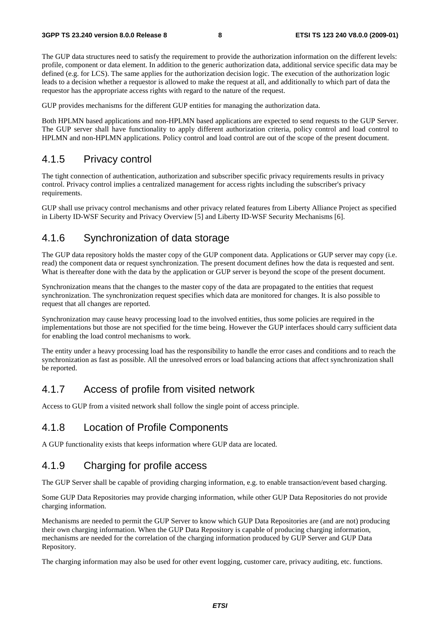The GUP data structures need to satisfy the requirement to provide the authorization information on the different levels: profile, component or data element. In addition to the generic authorization data, additional service specific data may be defined (e.g. for LCS). The same applies for the authorization decision logic. The execution of the authorization logic leads to a decision whether a requestor is allowed to make the request at all, and additionally to which part of data the requestor has the appropriate access rights with regard to the nature of the request.

GUP provides mechanisms for the different GUP entities for managing the authorization data.

Both HPLMN based applications and non-HPLMN based applications are expected to send requests to the GUP Server. The GUP server shall have functionality to apply different authorization criteria, policy control and load control to HPLMN and non-HPLMN applications. Policy control and load control are out of the scope of the present document.

### 4.1.5 Privacy control

The tight connection of authentication, authorization and subscriber specific privacy requirements results in privacy control. Privacy control implies a centralized management for access rights including the subscriber's privacy requirements.

GUP shall use privacy control mechanisms and other privacy related features from Liberty Alliance Project as specified in Liberty ID-WSF Security and Privacy Overview [5] and Liberty ID-WSF Security Mechanisms [6].

### 4.1.6 Synchronization of data storage

The GUP data repository holds the master copy of the GUP component data. Applications or GUP server may copy (i.e. read) the component data or request synchronization. The present document defines how the data is requested and sent. What is thereafter done with the data by the application or GUP server is beyond the scope of the present document.

Synchronization means that the changes to the master copy of the data are propagated to the entities that request synchronization. The synchronization request specifies which data are monitored for changes. It is also possible to request that all changes are reported.

Synchronization may cause heavy processing load to the involved entities, thus some policies are required in the implementations but those are not specified for the time being. However the GUP interfaces should carry sufficient data for enabling the load control mechanisms to work.

The entity under a heavy processing load has the responsibility to handle the error cases and conditions and to reach the synchronization as fast as possible. All the unresolved errors or load balancing actions that affect synchronization shall be reported.

### 4.1.7 Access of profile from visited network

Access to GUP from a visited network shall follow the single point of access principle.

### 4.1.8 Location of Profile Components

A GUP functionality exists that keeps information where GUP data are located.

### 4.1.9 Charging for profile access

The GUP Server shall be capable of providing charging information, e.g. to enable transaction/event based charging.

Some GUP Data Repositories may provide charging information, while other GUP Data Repositories do not provide charging information.

Mechanisms are needed to permit the GUP Server to know which GUP Data Repositories are (and are not) producing their own charging information. When the GUP Data Repository is capable of producing charging information, mechanisms are needed for the correlation of the charging information produced by GUP Server and GUP Data Repository.

The charging information may also be used for other event logging, customer care, privacy auditing, etc. functions.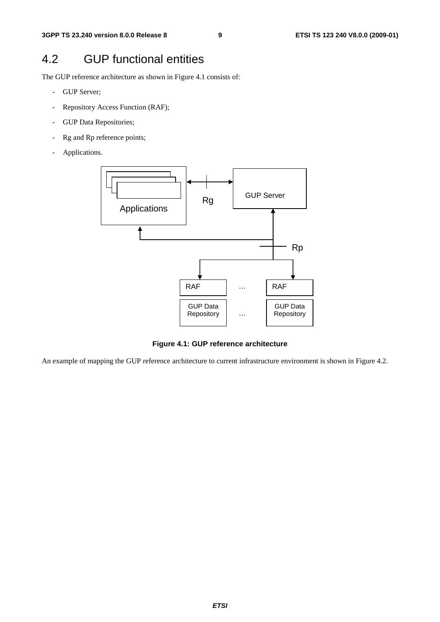# 4.2 GUP functional entities

The GUP reference architecture as shown in Figure 4.1 consists of:

- GUP Server;
- Repository Access Function (RAF);
- GUP Data Repositories;
- Rg and Rp reference points;
- Applications.



**Figure 4.1: GUP reference architecture** 

An example of mapping the GUP reference architecture to current infrastructure environment is shown in Figure 4.2.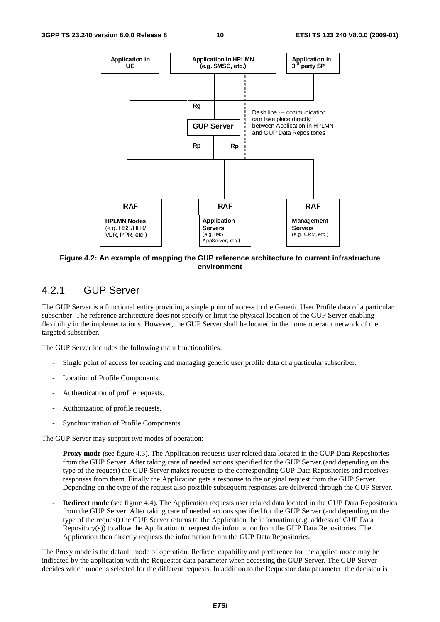

**Figure 4.2: An example of mapping the GUP reference architecture to current infrastructure environment** 

### 4.2.1 GUP Server

The GUP Server is a functional entity providing a single point of access to the Generic User Profile data of a particular subscriber. The reference architecture does not specify or limit the physical location of the GUP Server enabling flexibility in the implementations. However, the GUP Server shall be located in the home operator network of the targeted subscriber.

The GUP Server includes the following main functionalities:

- Single point of access for reading and managing generic user profile data of a particular subscriber.
- Location of Profile Components.
- Authentication of profile requests.
- Authorization of profile requests.
- Synchronization of Profile Components.

The GUP Server may support two modes of operation:

- **Proxy mode** (see figure 4.3). The Application requests user related data located in the GUP Data Repositories from the GUP Server. After taking care of needed actions specified for the GUP Server (and depending on the type of the request) the GUP Server makes requests to the corresponding GUP Data Repositories and receives responses from them. Finally the Application gets a response to the original request from the GUP Server. Depending on the type of the request also possible subsequent responses are delivered through the GUP Server.
- **Redirect mode** (see figure 4.4). The Application requests user related data located in the GUP Data Repositories from the GUP Server. After taking care of needed actions specified for the GUP Server (and depending on the type of the request) the GUP Server returns to the Application the information (e.g. address of GUP Data Repository(s)) to allow the Application to request the information from the GUP Data Repositories. The Application then directly requests the information from the GUP Data Repositories.

The Proxy mode is the default mode of operation. Redirect capability and preference for the applied mode may be indicated by the application with the Requestor data parameter when accessing the GUP Server. The GUP Server decides which mode is selected for the different requests. In addition to the Requestor data parameter, the decision is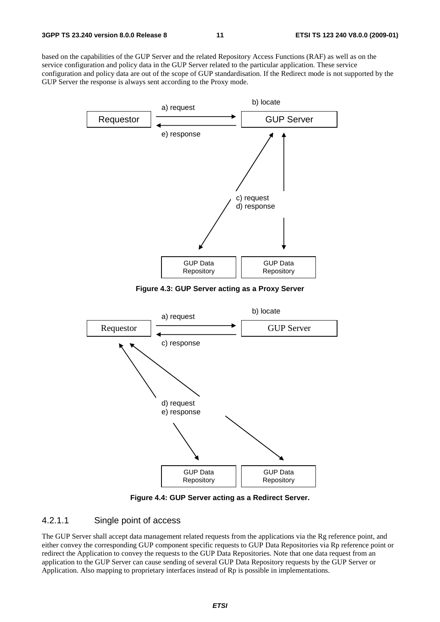based on the capabilities of the GUP Server and the related Repository Access Functions (RAF) as well as on the service configuration and policy data in the GUP Server related to the particular application. These service configuration and policy data are out of the scope of GUP standardisation. If the Redirect mode is not supported by the GUP Server the response is always sent according to the Proxy mode.



**Figure 4.3: GUP Server acting as a Proxy Server** 



**Figure 4.4: GUP Server acting as a Redirect Server.** 

#### 4.2.1.1 Single point of access

The GUP Server shall accept data management related requests from the applications via the Rg reference point, and either convey the corresponding GUP component specific requests to GUP Data Repositories via Rp reference point or redirect the Application to convey the requests to the GUP Data Repositories. Note that one data request from an application to the GUP Server can cause sending of several GUP Data Repository requests by the GUP Server or Application. Also mapping to proprietary interfaces instead of Rp is possible in implementations.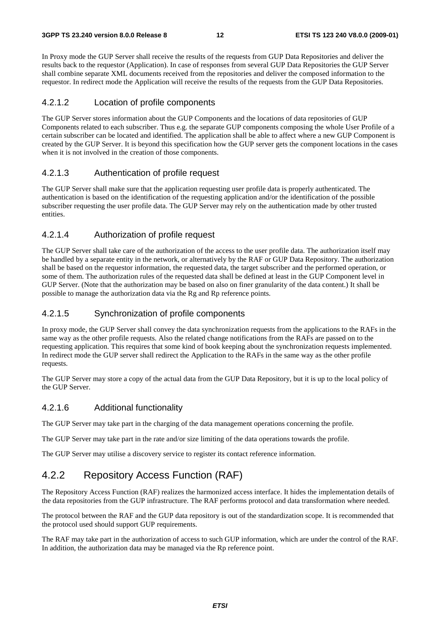In Proxy mode the GUP Server shall receive the results of the requests from GUP Data Repositories and deliver the results back to the requestor (Application). In case of responses from several GUP Data Repositories the GUP Server shall combine separate XML documents received from the repositories and deliver the composed information to the requestor. In redirect mode the Application will receive the results of the requests from the GUP Data Repositories.

### 4.2.1.2 Location of profile components

The GUP Server stores information about the GUP Components and the locations of data repositories of GUP Components related to each subscriber. Thus e.g. the separate GUP components composing the whole User Profile of a certain subscriber can be located and identified. The application shall be able to affect where a new GUP Component is created by the GUP Server. It is beyond this specification how the GUP server gets the component locations in the cases when it is not involved in the creation of those components.

### 4.2.1.3 Authentication of profile request

The GUP Server shall make sure that the application requesting user profile data is properly authenticated. The authentication is based on the identification of the requesting application and/or the identification of the possible subscriber requesting the user profile data. The GUP Server may rely on the authentication made by other trusted entities.

#### 4.2.1.4 Authorization of profile request

The GUP Server shall take care of the authorization of the access to the user profile data. The authorization itself may be handled by a separate entity in the network, or alternatively by the RAF or GUP Data Repository. The authorization shall be based on the requestor information, the requested data, the target subscriber and the performed operation, or some of them. The authorization rules of the requested data shall be defined at least in the GUP Component level in GUP Server. (Note that the authorization may be based on also on finer granularity of the data content.) It shall be possible to manage the authorization data via the Rg and Rp reference points.

### 4.2.1.5 Synchronization of profile components

In proxy mode, the GUP Server shall convey the data synchronization requests from the applications to the RAFs in the same way as the other profile requests. Also the related change notifications from the RAFs are passed on to the requesting application. This requires that some kind of book keeping about the synchronization requests implemented. In redirect mode the GUP server shall redirect the Application to the RAFs in the same way as the other profile requests.

The GUP Server may store a copy of the actual data from the GUP Data Repository, but it is up to the local policy of the GUP Server.

### 4.2.1.6 Additional functionality

The GUP Server may take part in the charging of the data management operations concerning the profile.

The GUP Server may take part in the rate and/or size limiting of the data operations towards the profile.

The GUP Server may utilise a discovery service to register its contact reference information.

### 4.2.2 Repository Access Function (RAF)

The Repository Access Function (RAF) realizes the harmonized access interface. It hides the implementation details of the data repositories from the GUP infrastructure. The RAF performs protocol and data transformation where needed.

The protocol between the RAF and the GUP data repository is out of the standardization scope. It is recommended that the protocol used should support GUP requirements.

The RAF may take part in the authorization of access to such GUP information, which are under the control of the RAF. In addition, the authorization data may be managed via the Rp reference point.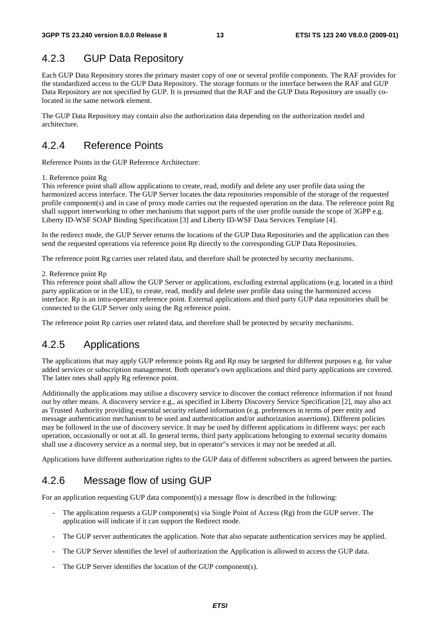### 4.2.3 GUP Data Repository

Each GUP Data Repository stores the primary master copy of one or several profile components. The RAF provides for the standardized access to the GUP Data Repository. The storage formats or the interface between the RAF and GUP Data Repository are not specified by GUP. It is presumed that the RAF and the GUP Data Repository are usually colocated in the same network element.

The GUP Data Repository may contain also the authorization data depending on the authorization model and architecture.

### 4.2.4 Reference Points

Reference Points in the GUP Reference Architecture:

#### 1. Reference point Rg

This reference point shall allow applications to create, read, modify and delete any user profile data using the harmonized access interface. The GUP Server locates the data repositories responsible of the storage of the requested profile component(s) and in case of proxy mode carries out the requested operation on the data. The reference point Rg shall support interworking to other mechanisms that support parts of the user profile outside the scope of 3GPP e.g. Liberty ID-WSF SOAP Binding Specification [3] and Liberty ID-WSF Data Services Template [4].

In the redirect mode, the GUP Server returns the locations of the GUP Data Repositories and the application can then send the requested operations via reference point Rp directly to the corresponding GUP Data Repositories.

The reference point Rg carries user related data, and therefore shall be protected by security mechanisms.

#### 2. Reference point Rp

This reference point shall allow the GUP Server or applications, excluding external applications (e.g. located in a third party application or in the UE), to create, read, modify and delete user profile data using the harmonized access interface. Rp is an intra-operator reference point. External applications and third party GUP data repositories shall be connected to the GUP Server only using the Rg reference point.

The reference point Rp carries user related data, and therefore shall be protected by security mechanisms.

### 4.2.5 Applications

The applications that may apply GUP reference points Rg and Rp may be targeted for different purposes e.g. for value added services or subscription management. Both operator's own applications and third party applications are covered. The latter ones shall apply Rg reference point.

Additionally the applications may utilise a discovery service to discover the contact reference information if not found out by other means. A discovery service e.g., as specified in Liberty Discovery Service Specification [2], may also act as Trusted Authority providing essential security related information (e.g. preferences in terms of peer entity and message authentication mechanism to be used and authentication and/or authorization assertions). Different policies may be followed in the use of discovery service. It may be used by different applications in different ways: per each operation, occasionally or not at all. In general terms, third party applications belonging to external security domains shall use a discovery service as a normal step, but in operator"s services it may not be needed at all.

Applications have different authorization rights to the GUP data of different subscribers as agreed between the parties.

### 4.2.6 Message flow of using GUP

For an application requesting GUP data component(s) a message flow is described in the following:

- The application requests a GUP component(s) via Single Point of Access (Rg) from the GUP server. The application will indicate if it can support the Redirect mode.
- The GUP server authenticates the application. Note that also separate authentication services may be applied.
- The GUP Server identifies the level of authorization the Application is allowed to access the GUP data.
- The GUP Server identifies the location of the GUP component(s).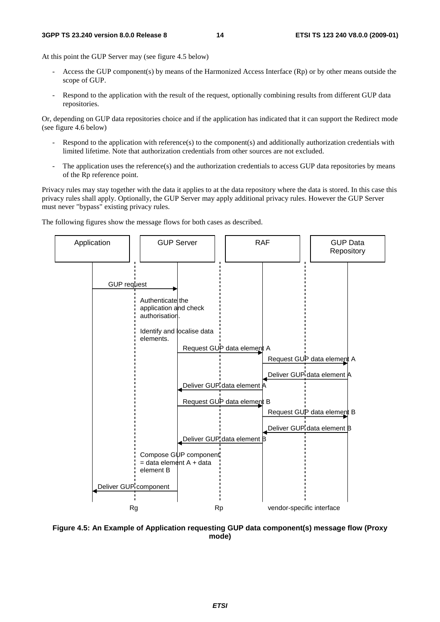#### **3GPP TS 23.240 version 8.0.0 Release 8 14 ETSI TS 123 240 V8.0.0 (2009-01)**

At this point the GUP Server may (see figure 4.5 below)

- Access the GUP component(s) by means of the Harmonized Access Interface (Rp) or by other means outside the scope of GUP.
- Respond to the application with the result of the request, optionally combining results from different GUP data repositories.

Or, depending on GUP data repositories choice and if the application has indicated that it can support the Redirect mode (see figure 4.6 below)

- Respond to the application with reference(s) to the component(s) and additionally authorization credentials with limited lifetime. Note that authorization credentials from other sources are not excluded.
- The application uses the reference(s) and the authorization credentials to access GUP data repositories by means of the Rp reference point.

Privacy rules may stay together with the data it applies to at the data repository where the data is stored. In this case this privacy rules shall apply. Optionally, the GUP Server may apply additional privacy rules. However the GUP Server must never "bypass" existing privacy rules.

The following figures show the message flows for both cases as described.



**Figure 4.5: An Example of Application requesting GUP data component(s) message flow (Proxy mode)**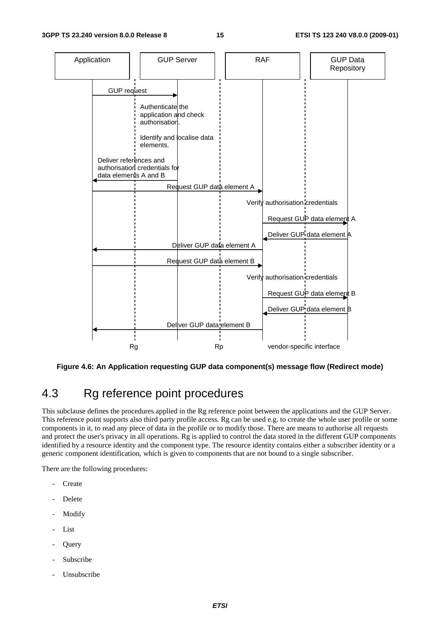

**Figure 4.6: An Application requesting GUP data component(s) message flow (Redirect mode)** 

# 4.3 Rg reference point procedures

This subclause defines the procedures applied in the Rg reference point between the applications and the GUP Server. This reference point supports also third party profile access. Rg can be used e.g. to create the whole user profile or some components in it, to read any piece of data in the profile or to modify those. There are means to authorise all requests and protect the user's privacy in all operations. Rg is applied to control the data stored in the different GUP components identified by a resource identity and the component type. The resource identity contains either a subscriber identity or a generic component identification, which is given to components that are not bound to a single subscriber.

There are the following procedures:

- Create
- **Delete**
- **Modify**
- List
- **Query**
- Subscribe
- Unsubscribe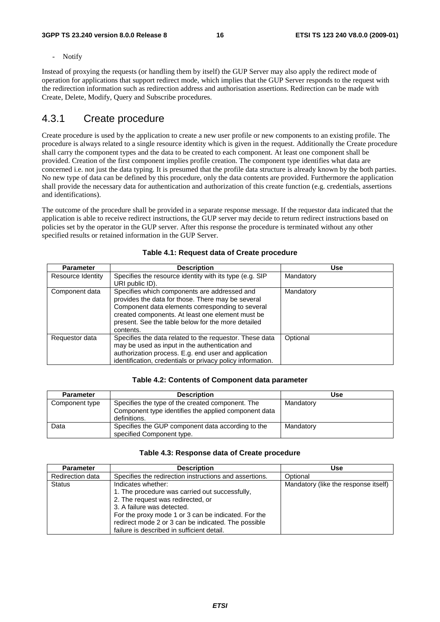- Notify

Instead of proxying the requests (or handling them by itself) the GUP Server may also apply the redirect mode of operation for applications that support redirect mode, which implies that the GUP Server responds to the request with the redirection information such as redirection address and authorisation assertions. Redirection can be made with Create, Delete, Modify, Query and Subscribe procedures.

### 4.3.1 Create procedure

Create procedure is used by the application to create a new user profile or new components to an existing profile. The procedure is always related to a single resource identity which is given in the request. Additionally the Create procedure shall carry the component types and the data to be created to each component. At least one component shall be provided. Creation of the first component implies profile creation. The component type identifies what data are concerned i.e. not just the data typing. It is presumed that the profile data structure is already known by the both parties. No new type of data can be defined by this procedure, only the data contents are provided. Furthermore the application shall provide the necessary data for authentication and authorization of this create function (e.g. credentials, assertions and identifications).

The outcome of the procedure shall be provided in a separate response message. If the requestor data indicated that the application is able to receive redirect instructions, the GUP server may decide to return redirect instructions based on policies set by the operator in the GUP server. After this response the procedure is terminated without any other specified results or retained information in the GUP Server.

| <b>Parameter</b>  | <b>Description</b>                                                                                                                                                                                                                                                           | <b>Use</b> |
|-------------------|------------------------------------------------------------------------------------------------------------------------------------------------------------------------------------------------------------------------------------------------------------------------------|------------|
| Resource Identity | Specifies the resource identity with its type (e.g. SIP<br>URI public ID).                                                                                                                                                                                                   | Mandatory  |
| Component data    | Specifies which components are addressed and<br>provides the data for those. There may be several<br>Component data elements corresponding to several<br>created components. At least one element must be<br>present. See the table below for the more detailed<br>contents. | Mandatory  |
| Requestor data    | Specifies the data related to the requestor. These data<br>may be used as input in the authentication and<br>authorization process. E.g. end user and application<br>identification, credentials or privacy policy information.                                              | Optional   |

|  |  |  |  | Table 4.1: Request data of Create procedure |
|--|--|--|--|---------------------------------------------|
|--|--|--|--|---------------------------------------------|

#### **Table 4.2: Contents of Component data parameter**

| <b>Parameter</b> | <b>Description</b>                                                                                                       | Use       |
|------------------|--------------------------------------------------------------------------------------------------------------------------|-----------|
| Component type   | Specifies the type of the created component. The<br>Component type identifies the applied component data<br>definitions. | Mandatory |
| Data             | Specifies the GUP component data according to the<br>specified Component type.                                           | Mandatory |

#### **Table 4.3: Response data of Create procedure**

| <b>Parameter</b> | <b>Description</b>                                     | Use                                  |
|------------------|--------------------------------------------------------|--------------------------------------|
| Redirection data | Specifies the redirection instructions and assertions. | Optional                             |
| <b>Status</b>    | Indicates whether:                                     | Mandatory (like the response itself) |
|                  | 1. The procedure was carried out successfully,         |                                      |
|                  | 2. The request was redirected, or                      |                                      |
|                  | 3. A failure was detected.                             |                                      |
|                  | For the proxy mode 1 or 3 can be indicated. For the    |                                      |
|                  | redirect mode 2 or 3 can be indicated. The possible    |                                      |
|                  | failure is described in sufficient detail.             |                                      |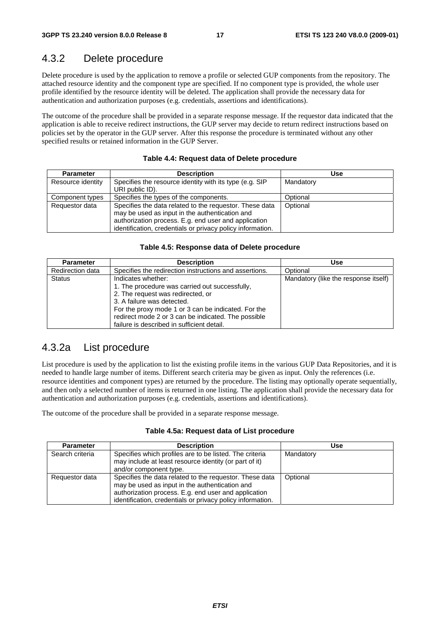# 4.3.2 Delete procedure

Delete procedure is used by the application to remove a profile or selected GUP components from the repository. The attached resource identity and the component type are specified. If no component type is provided, the whole user profile identified by the resource identity will be deleted. The application shall provide the necessary data for authentication and authorization purposes (e.g. credentials, assertions and identifications).

The outcome of the procedure shall be provided in a separate response message. If the requestor data indicated that the application is able to receive redirect instructions, the GUP server may decide to return redirect instructions based on policies set by the operator in the GUP server. After this response the procedure is terminated without any other specified results or retained information in the GUP Server.

| <b>Parameter</b>  | <b>Description</b>                                                                                                                                                                                                              | Use       |
|-------------------|---------------------------------------------------------------------------------------------------------------------------------------------------------------------------------------------------------------------------------|-----------|
| Resource identity | Specifies the resource identity with its type (e.g. SIP<br>URI public ID).                                                                                                                                                      | Mandatory |
| Component types   | Specifies the types of the components.                                                                                                                                                                                          | Optional  |
| Requestor data    | Specifies the data related to the requestor. These data<br>may be used as input in the authentication and<br>authorization process. E.g. end user and application<br>identification, credentials or privacy policy information. | Optional  |

### **Table 4.4: Request data of Delete procedure**

### **Table 4.5: Response data of Delete procedure**

| <b>Parameter</b> | <b>Description</b>                                                                                                                                                                                                                                                                                  | Use                                  |
|------------------|-----------------------------------------------------------------------------------------------------------------------------------------------------------------------------------------------------------------------------------------------------------------------------------------------------|--------------------------------------|
| Redirection data | Specifies the redirection instructions and assertions.                                                                                                                                                                                                                                              | Optional                             |
| <b>Status</b>    | Indicates whether:<br>1. The procedure was carried out successfully,<br>2. The request was redirected, or<br>3. A failure was detected.<br>For the proxy mode 1 or 3 can be indicated. For the<br>redirect mode 2 or 3 can be indicated. The possible<br>failure is described in sufficient detail. | Mandatory (like the response itself) |

### 4.3.2a List procedure

List procedure is used by the application to list the existing profile items in the various GUP Data Repositories, and it is needed to handle large number of items. Different search criteria may be given as input. Only the references (i.e. resource identities and component types) are returned by the procedure. The listing may optionally operate sequentially, and then only a selected number of items is returned in one listing. The application shall provide the necessary data for authentication and authorization purposes (e.g. credentials, assertions and identifications).

The outcome of the procedure shall be provided in a separate response message.

### **Table 4.5a: Request data of List procedure**

| <b>Parameter</b> | <b>Description</b>                                                                                                                                                                                                              | Use       |
|------------------|---------------------------------------------------------------------------------------------------------------------------------------------------------------------------------------------------------------------------------|-----------|
| Search criteria  | Specifies which profiles are to be listed. The criteria<br>may include at least resource identity (or part of it)<br>and/or component type.                                                                                     | Mandatory |
| Requestor data   | Specifies the data related to the requestor. These data<br>may be used as input in the authentication and<br>authorization process. E.g. end user and application<br>identification, credentials or privacy policy information. | Optional  |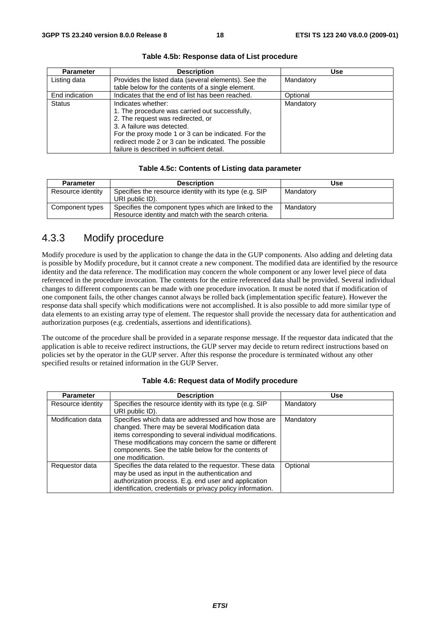| <b>Parameter</b> | <b>Description</b>                                                                                                                                                                                                                                                                                  | <b>Use</b> |
|------------------|-----------------------------------------------------------------------------------------------------------------------------------------------------------------------------------------------------------------------------------------------------------------------------------------------------|------------|
| Listing data     | Provides the listed data (several elements). See the<br>table below for the contents of a single element.                                                                                                                                                                                           | Mandatory  |
| End indication   | Indicates that the end of list has been reached.                                                                                                                                                                                                                                                    | Optional   |
| <b>Status</b>    | Indicates whether:<br>1. The procedure was carried out successfully,<br>2. The request was redirected, or<br>3. A failure was detected.<br>For the proxy mode 1 or 3 can be indicated. For the<br>redirect mode 2 or 3 can be indicated. The possible<br>failure is described in sufficient detail. | Mandatory  |

#### **Table 4.5b: Response data of List procedure**

#### **Table 4.5c: Contents of Listing data parameter**

| <b>Parameter</b>  | <b>Description</b>                                                                                             | <b>Use</b> |
|-------------------|----------------------------------------------------------------------------------------------------------------|------------|
| Resource identity | Specifies the resource identity with its type (e.g. SIP)<br>URI public ID).                                    | Mandatory  |
| Component types   | Specifies the component types which are linked to the<br>Resource identity and match with the search criteria. | Mandatory  |

### 4.3.3 Modify procedure

Modify procedure is used by the application to change the data in the GUP components. Also adding and deleting data is possible by Modify procedure, but it cannot create a new component. The modified data are identified by the resource identity and the data reference. The modification may concern the whole component or any lower level piece of data referenced in the procedure invocation. The contents for the entire referenced data shall be provided. Several individual changes to different components can be made with one procedure invocation. It must be noted that if modification of one component fails, the other changes cannot always be rolled back (implementation specific feature). However the response data shall specify which modifications were not accomplished. It is also possible to add more similar type of data elements to an existing array type of element. The requestor shall provide the necessary data for authentication and authorization purposes (e.g. credentials, assertions and identifications).

The outcome of the procedure shall be provided in a separate response message. If the requestor data indicated that the application is able to receive redirect instructions, the GUP server may decide to return redirect instructions based on policies set by the operator in the GUP server. After this response the procedure is terminated without any other specified results or retained information in the GUP Server.

| <b>Parameter</b>  | <b>Description</b>                                                                                                                                                                                                                                                                                       | Use       |
|-------------------|----------------------------------------------------------------------------------------------------------------------------------------------------------------------------------------------------------------------------------------------------------------------------------------------------------|-----------|
| Resource identity | Specifies the resource identity with its type (e.g. SIP                                                                                                                                                                                                                                                  | Mandatory |
|                   | URI public ID).                                                                                                                                                                                                                                                                                          |           |
| Modification data | Specifies which data are addressed and how those are<br>changed. There may be several Modification data<br>items corresponding to several individual modifications.<br>These modifications may concern the same or different<br>components. See the table below for the contents of<br>one modification. | Mandatory |
| Requestor data    | Specifies the data related to the requestor. These data<br>may be used as input in the authentication and<br>authorization process. E.g. end user and application<br>identification, credentials or privacy policy information.                                                                          | Optional  |

#### **Table 4.6: Request data of Modify procedure**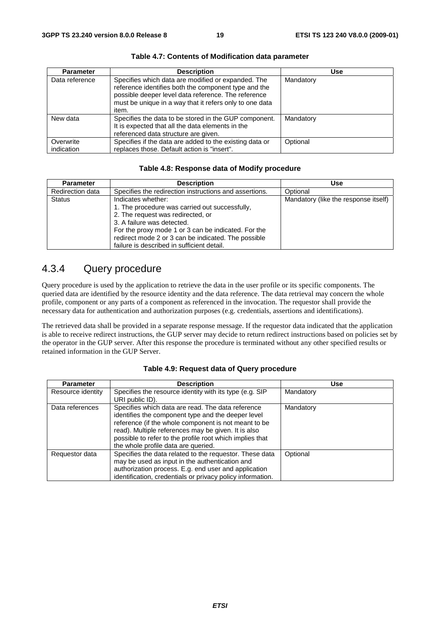| <b>Parameter</b>        | <b>Description</b>                                                                                                                                                                                                                    | <b>Use</b> |
|-------------------------|---------------------------------------------------------------------------------------------------------------------------------------------------------------------------------------------------------------------------------------|------------|
| Data reference          | Specifies which data are modified or expanded. The<br>reference identifies both the component type and the<br>possible deeper level data reference. The reference<br>must be unique in a way that it refers only to one data<br>item. | Mandatory  |
| New data                | Specifies the data to be stored in the GUP component.<br>It is expected that all the data elements in the<br>referenced data structure are given.                                                                                     | Mandatory  |
| Overwrite<br>indication | Specifies if the data are added to the existing data or<br>replaces those. Default action is "insert".                                                                                                                                | Optional   |

**Table 4.7: Contents of Modification data parameter** 

#### **Table 4.8: Response data of Modify procedure**

| <b>Parameter</b> | <b>Description</b>                                                                                                                                                                                                                                    | Use                                  |
|------------------|-------------------------------------------------------------------------------------------------------------------------------------------------------------------------------------------------------------------------------------------------------|--------------------------------------|
| Redirection data | Specifies the redirection instructions and assertions.                                                                                                                                                                                                | Optional                             |
| <b>Status</b>    | Indicates whether:<br>1. The procedure was carried out successfully,<br>2. The request was redirected, or<br>3. A failure was detected.<br>For the proxy mode 1 or 3 can be indicated. For the<br>redirect mode 2 or 3 can be indicated. The possible | Mandatory (like the response itself) |
|                  | failure is described in sufficient detail.                                                                                                                                                                                                            |                                      |

### 4.3.4 Query procedure

Query procedure is used by the application to retrieve the data in the user profile or its specific components. The queried data are identified by the resource identity and the data reference. The data retrieval may concern the whole profile, component or any parts of a component as referenced in the invocation. The requestor shall provide the necessary data for authentication and authorization purposes (e.g. credentials, assertions and identifications).

The retrieved data shall be provided in a separate response message. If the requestor data indicated that the application is able to receive redirect instructions, the GUP server may decide to return redirect instructions based on policies set by the operator in the GUP server. After this response the procedure is terminated without any other specified results or retained information in the GUP Server.

| <b>Parameter</b>  | <b>Description</b>                                                                                                                                                                                                                                                                                                        | Use       |
|-------------------|---------------------------------------------------------------------------------------------------------------------------------------------------------------------------------------------------------------------------------------------------------------------------------------------------------------------------|-----------|
| Resource identity | Specifies the resource identity with its type (e.g. SIP<br>URI public ID).                                                                                                                                                                                                                                                | Mandatory |
| Data references   | Specifies which data are read. The data reference<br>identifies the component type and the deeper level<br>reference (if the whole component is not meant to be<br>read). Multiple references may be given. It is also<br>possible to refer to the profile root which implies that<br>the whole profile data are queried. | Mandatory |
| Requestor data    | Specifies the data related to the requestor. These data<br>may be used as input in the authentication and<br>authorization process. E.g. end user and application<br>identification, credentials or privacy policy information.                                                                                           | Optional  |

#### **Table 4.9: Request data of Query procedure**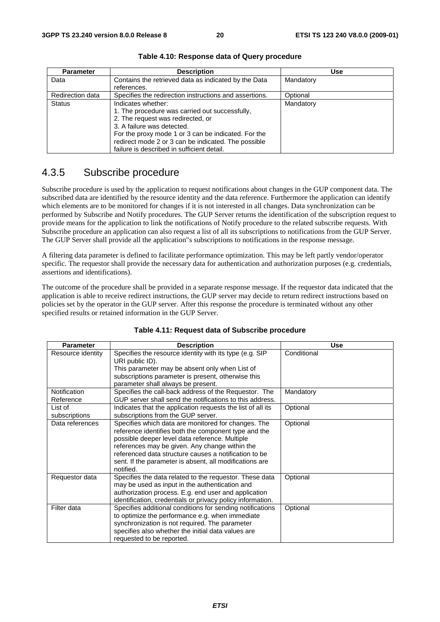| <b>Parameter</b> | <b>Description</b>                                                                                                                                                                                                                                                                                  | <b>Use</b> |
|------------------|-----------------------------------------------------------------------------------------------------------------------------------------------------------------------------------------------------------------------------------------------------------------------------------------------------|------------|
| Data             | Contains the retrieved data as indicated by the Data<br>references.                                                                                                                                                                                                                                 | Mandatory  |
| Redirection data | Specifies the redirection instructions and assertions.                                                                                                                                                                                                                                              | Optional   |
| <b>Status</b>    | Indicates whether:<br>1. The procedure was carried out successfully,<br>2. The request was redirected, or<br>3. A failure was detected.<br>For the proxy mode 1 or 3 can be indicated. For the<br>redirect mode 2 or 3 can be indicated. The possible<br>failure is described in sufficient detail. | Mandatory  |

**Table 4.10: Response data of Query procedure** 

### 4.3.5 Subscribe procedure

Subscribe procedure is used by the application to request notifications about changes in the GUP component data. The subscribed data are identified by the resource identity and the data reference. Furthermore the application can identify which elements are to be monitored for changes if it is not interested in all changes. Data synchronization can be performed by Subscribe and Notify procedures. The GUP Server returns the identification of the subscription request to provide means for the application to link the notifications of Notify procedure to the related subscribe requests. With Subscribe procedure an application can also request a list of all its subscriptions to notifications from the GUP Server. The GUP Server shall provide all the application"s subscriptions to notifications in the response message.

A filtering data parameter is defined to facilitate performance optimization. This may be left partly vendor/operator specific. The requestor shall provide the necessary data for authentication and authorization purposes (e.g. credentials, assertions and identifications).

The outcome of the procedure shall be provided in a separate response message. If the requestor data indicated that the application is able to receive redirect instructions, the GUP server may decide to return redirect instructions based on policies set by the operator in the GUP server. After this response the procedure is terminated without any other specified results or retained information in the GUP Server.

| <b>Parameter</b>    | <b>Description</b>                                                         | <b>Use</b>  |
|---------------------|----------------------------------------------------------------------------|-------------|
| Resource identity   | Specifies the resource identity with its type (e.g. SIP<br>URI public ID). | Conditional |
|                     | This parameter may be absent only when List of                             |             |
|                     | subscriptions parameter is present, otherwise this                         |             |
|                     | parameter shall always be present.                                         |             |
| <b>Notification</b> | Specifies the call-back address of the Requestor. The                      | Mandatory   |
| Reference           | GUP server shall send the notifications to this address.                   |             |
| List of             | Indicates that the application requests the list of all its                | Optional    |
| subscriptions       | subscriptions from the GUP server.                                         |             |
| Data references     | Specifies which data are monitored for changes. The                        | Optional    |
|                     | reference identifies both the component type and the                       |             |
|                     | possible deeper level data reference. Multiple                             |             |
|                     | references may be given. Any change within the                             |             |
|                     | referenced data structure causes a notification to be                      |             |
|                     | sent. If the parameter is absent, all modifications are                    |             |
|                     | notified.                                                                  |             |
| Requestor data      | Specifies the data related to the requestor. These data                    | Optional    |
|                     | may be used as input in the authentication and                             |             |
|                     | authorization process. E.g. end user and application                       |             |
|                     | identification, credentials or privacy policy information.                 |             |
| Filter data         | Specifies additional conditions for sending notifications                  | Optional    |
|                     | to optimize the performance e.g. when immediate                            |             |
|                     | synchronization is not required. The parameter                             |             |
|                     | specifies also whether the initial data values are                         |             |
|                     | requested to be reported.                                                  |             |

#### **Table 4.11: Request data of Subscribe procedure**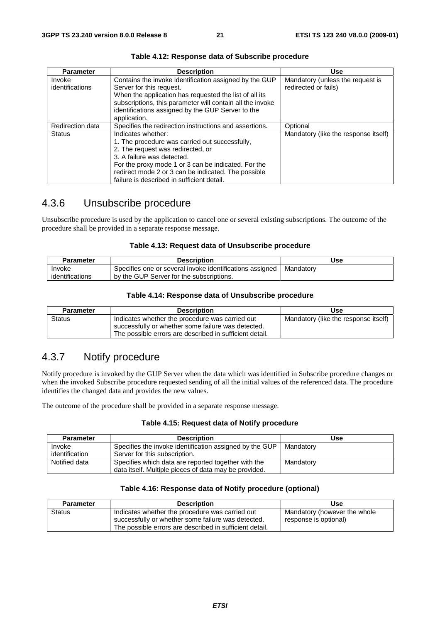| <b>Parameter</b>          | <b>Description</b>                                                                                                                                                                                                                                                                                  | <b>Use</b>                                               |
|---------------------------|-----------------------------------------------------------------------------------------------------------------------------------------------------------------------------------------------------------------------------------------------------------------------------------------------------|----------------------------------------------------------|
| Invoke<br>identifications | Contains the invoke identification assigned by the GUP<br>Server for this request.<br>When the application has requested the list of all its<br>subscriptions, this parameter will contain all the invoke<br>identifications assigned by the GUP Server to the<br>application.                      | Mandatory (unless the request is<br>redirected or fails) |
| <b>Redirection data</b>   | Specifies the redirection instructions and assertions.                                                                                                                                                                                                                                              | Optional                                                 |
| <b>Status</b>             | Indicates whether:<br>1. The procedure was carried out successfully,<br>2. The request was redirected, or<br>3. A failure was detected.<br>For the proxy mode 1 or 3 can be indicated. For the<br>redirect mode 2 or 3 can be indicated. The possible<br>failure is described in sufficient detail. | Mandatory (like the response itself)                     |

**Table 4.12: Response data of Subscribe procedure** 

### 4.3.6 Unsubscribe procedure

Unsubscribe procedure is used by the application to cancel one or several existing subscriptions. The outcome of the procedure shall be provided in a separate response message.

| Table 4.13: Request data of Unsubscribe procedure |  |  |  |
|---------------------------------------------------|--|--|--|
|---------------------------------------------------|--|--|--|

| <b>Parameter</b> | <b>Description</b>                                       | Use       |
|------------------|----------------------------------------------------------|-----------|
| Invoke           | Specifies one or several invoke identifications assigned | Mandatorv |
| identifications  | by the GUP Server for the subscriptions.                 |           |

#### **Table 4.14: Response data of Unsubscribe procedure**

| <b>Parameter</b> | <b>Description</b>                                                                                    | Use                                  |
|------------------|-------------------------------------------------------------------------------------------------------|--------------------------------------|
| <b>Status</b>    | Indicates whether the procedure was carried out<br>successfully or whether some failure was detected. | Mandatory (like the response itself) |
|                  | The possible errors are described in sufficient detail.                                               |                                      |

# 4.3.7 Notify procedure

Notify procedure is invoked by the GUP Server when the data which was identified in Subscribe procedure changes or when the invoked Subscribe procedure requested sending of all the initial values of the referenced data. The procedure identifies the changed data and provides the new values.

The outcome of the procedure shall be provided in a separate response message.

#### **Table 4.15: Request data of Notify procedure**

| <b>Parameter</b> | <b>Description</b>                                      | Use       |
|------------------|---------------------------------------------------------|-----------|
| Invoke           | Specifies the invoke identification assigned by the GUP | Mandatory |
| identification   | Server for this subscription.                           |           |
| Notified data    | Specifies which data are reported together with the     | Mandatory |
|                  | data itself. Multiple pieces of data may be provided.   |           |

#### **Table 4.16: Response data of Notify procedure (optional)**

| <b>Parameter</b> | <b>Description</b>                                                                                            | Use                          |
|------------------|---------------------------------------------------------------------------------------------------------------|------------------------------|
| <b>Status</b>    | Indicates whether the procedure was carried out                                                               | Mandatory (however the whole |
|                  | successfully or whether some failure was detected.<br>The possible errors are described in sufficient detail. | response is optional)        |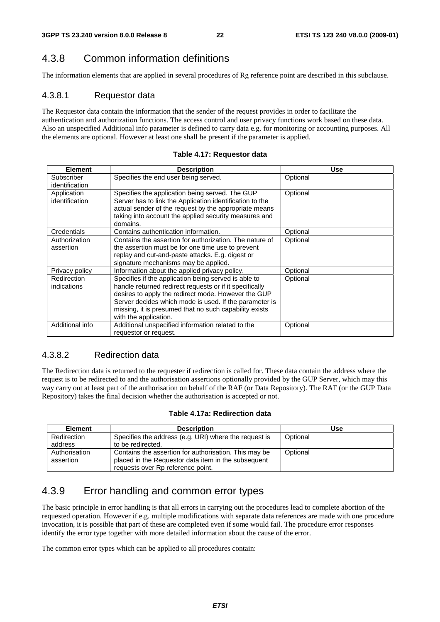### 4.3.8 Common information definitions

The information elements that are applied in several procedures of Rg reference point are described in this subclause.

### 4.3.8.1 Requestor data

The Requestor data contain the information that the sender of the request provides in order to facilitate the authentication and authorization functions. The access control and user privacy functions work based on these data. Also an unspecified Additional info parameter is defined to carry data e.g. for monitoring or accounting purposes. All the elements are optional. However at least one shall be present if the parameter is applied.

| <b>Element</b>                | <b>Description</b>                                                                                                                                                                                                                                                                                                  | <b>Use</b> |
|-------------------------------|---------------------------------------------------------------------------------------------------------------------------------------------------------------------------------------------------------------------------------------------------------------------------------------------------------------------|------------|
| Subscriber<br>identification  | Specifies the end user being served.                                                                                                                                                                                                                                                                                | Optional   |
| Application<br>identification | Specifies the application being served. The GUP<br>Server has to link the Application identification to the<br>actual sender of the request by the appropriate means<br>taking into account the applied security measures and<br>domains.                                                                           | Optional   |
| Credentials                   | Contains authentication information.                                                                                                                                                                                                                                                                                | Optional   |
| Authorization<br>assertion    | Contains the assertion for authorization. The nature of<br>the assertion must be for one time use to prevent<br>replay and cut-and-paste attacks. E.g. digest or<br>signature mechanisms may be applied.                                                                                                            | Optional   |
| Privacy policy                | Information about the applied privacy policy.                                                                                                                                                                                                                                                                       | Optional   |
| Redirection<br>indications    | Specifies if the application being served is able to<br>handle returned redirect requests or if it specifically<br>desires to apply the redirect mode. However the GUP<br>Server decides which mode is used. If the parameter is<br>missing, it is presumed that no such capability exists<br>with the application. | Optional   |
| Additional info               | Additional unspecified information related to the<br>requestor or request.                                                                                                                                                                                                                                          | Optional   |

#### **Table 4.17: Requestor data**

### 4.3.8.2 Redirection data

The Redirection data is returned to the requester if redirection is called for. These data contain the address where the request is to be redirected to and the authorisation assertions optionally provided by the GUP Server, which may this way carry out at least part of the authorisation on behalf of the RAF (or Data Repository). The RAF (or the GUP Data Repository) takes the final decision whether the authorisation is accepted or not.

#### **Table 4.17a: Redirection data**

| <b>Element</b>             | <b>Description</b>                                                                                                                                | Use      |
|----------------------------|---------------------------------------------------------------------------------------------------------------------------------------------------|----------|
| Redirection<br>address     | Specifies the address (e.g. URI) where the request is<br>to be redirected.                                                                        | Optional |
| Authorisation<br>assertion | Contains the assertion for authorisation. This may be<br>placed in the Requestor data item in the subsequent<br>requests over Rp reference point. | Optional |

### 4.3.9 Error handling and common error types

The basic principle in error handling is that all errors in carrying out the procedures lead to complete abortion of the requested operation. However if e.g. multiple modifications with separate data references are made with one procedure invocation, it is possible that part of these are completed even if some would fail. The procedure error responses identify the error type together with more detailed information about the cause of the error.

The common error types which can be applied to all procedures contain: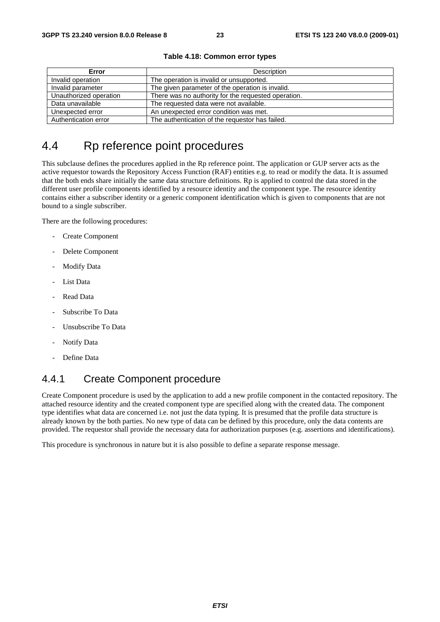| Error                  | <b>Description</b>                                  |
|------------------------|-----------------------------------------------------|
| Invalid operation      | The operation is invalid or unsupported.            |
| Invalid parameter      | The given parameter of the operation is invalid.    |
| Unauthorized operation | There was no authority for the requested operation. |
| Data unavailable       | The requested data were not available.              |
| Unexpected error       | An unexpected error condition was met.              |
| Authentication error   | The authentication of the requestor has failed.     |

#### **Table 4.18: Common error types**

# 4.4 Rp reference point procedures

This subclause defines the procedures applied in the Rp reference point. The application or GUP server acts as the active requestor towards the Repository Access Function (RAF) entities e.g. to read or modify the data. It is assumed that the both ends share initially the same data structure definitions. Rp is applied to control the data stored in the different user profile components identified by a resource identity and the component type. The resource identity contains either a subscriber identity or a generic component identification which is given to components that are not bound to a single subscriber.

There are the following procedures:

- Create Component
- Delete Component
- Modify Data
- List Data
- Read Data
- Subscribe To Data
- Unsubscribe To Data
- Notify Data
- Define Data

### 4.4.1 Create Component procedure

Create Component procedure is used by the application to add a new profile component in the contacted repository. The attached resource identity and the created component type are specified along with the created data. The component type identifies what data are concerned i.e. not just the data typing. It is presumed that the profile data structure is already known by the both parties. No new type of data can be defined by this procedure, only the data contents are provided. The requestor shall provide the necessary data for authorization purposes (e.g. assertions and identifications).

This procedure is synchronous in nature but it is also possible to define a separate response message.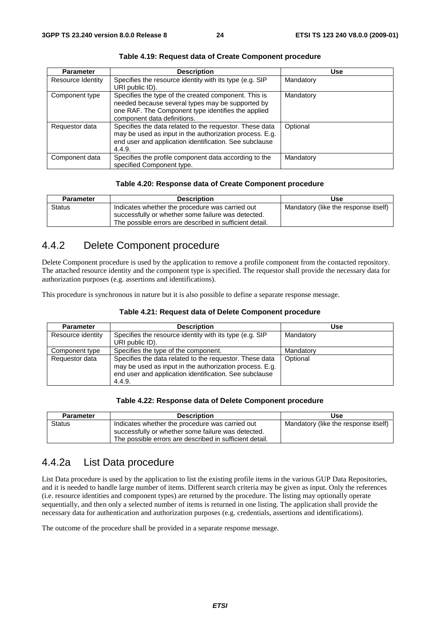| <b>Parameter</b>  | <b>Description</b>                                                                                                                                                                            | <b>Use</b> |
|-------------------|-----------------------------------------------------------------------------------------------------------------------------------------------------------------------------------------------|------------|
| Resource Identity | Specifies the resource identity with its type (e.g. SIP<br>URI public ID).                                                                                                                    | Mandatory  |
| Component type    | Specifies the type of the created component. This is<br>needed because several types may be supported by<br>one RAF. The Component type identifies the applied<br>component data definitions. | Mandatory  |
| Requestor data    | Specifies the data related to the requestor. These data<br>may be used as input in the authorization process. E.g.<br>end user and application identification. See subclause<br>4.4.9.        | Optional   |
| Component data    | Specifies the profile component data according to the<br>specified Component type.                                                                                                            | Mandatory  |

**Table 4.19: Request data of Create Component procedure** 

#### **Table 4.20: Response data of Create Component procedure**

| <b>Parameter</b> | <b>Description</b>                                                                                                                                               | Use                                  |
|------------------|------------------------------------------------------------------------------------------------------------------------------------------------------------------|--------------------------------------|
| <b>Status</b>    | Indicates whether the procedure was carried out<br>successfully or whether some failure was detected.<br>The possible errors are described in sufficient detail. | Mandatory (like the response itself) |

### 4.4.2 Delete Component procedure

Delete Component procedure is used by the application to remove a profile component from the contacted repository. The attached resource identity and the component type is specified. The requestor shall provide the necessary data for authorization purposes (e.g. assertions and identifications).

This procedure is synchronous in nature but it is also possible to define a separate response message.

|  |  | Table 4.21: Request data of Delete Component procedure |  |
|--|--|--------------------------------------------------------|--|
|--|--|--------------------------------------------------------|--|

| <b>Parameter</b>  | <b>Description</b>                                                                                                                                                                     | <b>Use</b> |
|-------------------|----------------------------------------------------------------------------------------------------------------------------------------------------------------------------------------|------------|
| Resource identity | Specifies the resource identity with its type (e.g. SIP<br>URI public ID).                                                                                                             | Mandatory  |
| Component type    | Specifies the type of the component.                                                                                                                                                   | Mandatory  |
| Requestor data    | Specifies the data related to the requestor. These data<br>may be used as input in the authorization process. E.g.<br>end user and application identification. See subclause<br>4.4.9. | Optional   |

#### **Table 4.22: Response data of Delete Component procedure**

| <b>Parameter</b> | <b>Description</b>                                                                                    | Use                                  |
|------------------|-------------------------------------------------------------------------------------------------------|--------------------------------------|
| <b>Status</b>    | Indicates whether the procedure was carried out<br>successfully or whether some failure was detected. | Mandatory (like the response itself) |
|                  | The possible errors are described in sufficient detail.                                               |                                      |

### 4.4.2a List Data procedure

List Data procedure is used by the application to list the existing profile items in the various GUP Data Repositories, and it is needed to handle large number of items. Different search criteria may be given as input. Only the references (i.e. resource identities and component types) are returned by the procedure. The listing may optionally operate sequentially, and then only a selected number of items is returned in one listing. The application shall provide the necessary data for authentication and authorization purposes (e.g. credentials, assertions and identifications).

The outcome of the procedure shall be provided in a separate response message.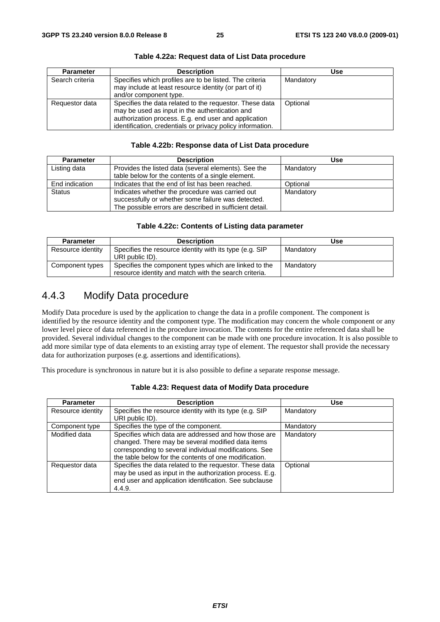| <b>Parameter</b> | <b>Description</b>                                                                                                                                                                                                              | <b>Use</b> |
|------------------|---------------------------------------------------------------------------------------------------------------------------------------------------------------------------------------------------------------------------------|------------|
| Search criteria  | Specifies which profiles are to be listed. The criteria<br>may include at least resource identity (or part of it)<br>and/or component type.                                                                                     | Mandatory  |
| Requestor data   | Specifies the data related to the requestor. These data<br>may be used as input in the authentication and<br>authorization process. E.g. end user and application<br>identification, credentials or privacy policy information. | Optional   |

#### **Table 4.22a: Request data of List Data procedure**

#### **Table 4.22b: Response data of List Data procedure**

| <b>Parameter</b> | <b>Description</b>                                                                                                                                               | <b>Use</b> |
|------------------|------------------------------------------------------------------------------------------------------------------------------------------------------------------|------------|
| Listing data     | Provides the listed data (several elements). See the<br>table below for the contents of a single element.                                                        | Mandatory  |
| End indication   | Indicates that the end of list has been reached.                                                                                                                 | Optional   |
| <b>Status</b>    | Indicates whether the procedure was carried out<br>successfully or whether some failure was detected.<br>The possible errors are described in sufficient detail. | Mandatory  |

#### **Table 4.22c: Contents of Listing data parameter**

| <b>Parameter</b>  | <b>Description</b>                                                                                             | Use       |
|-------------------|----------------------------------------------------------------------------------------------------------------|-----------|
| Resource identity | Specifies the resource identity with its type (e.g. SIP<br>URI public ID).                                     | Mandatory |
| Component types   | Specifies the component types which are linked to the<br>resource identity and match with the search criteria. | Mandatory |

### 4.4.3 Modify Data procedure

Modify Data procedure is used by the application to change the data in a profile component. The component is identified by the resource identity and the component type. The modification may concern the whole component or any lower level piece of data referenced in the procedure invocation. The contents for the entire referenced data shall be provided. Several individual changes to the component can be made with one procedure invocation. It is also possible to add more similar type of data elements to an existing array type of element. The requestor shall provide the necessary data for authorization purposes (e.g. assertions and identifications).

This procedure is synchronous in nature but it is also possible to define a separate response message.

| <b>Parameter</b>  | <b>Description</b>                                                                                                                                                                                                           | <b>Use</b> |
|-------------------|------------------------------------------------------------------------------------------------------------------------------------------------------------------------------------------------------------------------------|------------|
| Resource identity | Specifies the resource identity with its type (e.g. SIP<br>URI public ID).                                                                                                                                                   | Mandatory  |
| Component type    | Specifies the type of the component.                                                                                                                                                                                         | Mandatory  |
| Modified data     | Specifies which data are addressed and how those are<br>changed. There may be several modified data items<br>corresponding to several individual modifications. See<br>the table below for the contents of one modification. | Mandatory  |
| Requestor data    | Specifies the data related to the requestor. These data<br>may be used as input in the authorization process. E.g.<br>end user and application identification. See subclause<br>4.4.9.                                       | Optional   |

#### **Table 4.23: Request data of Modify Data procedure**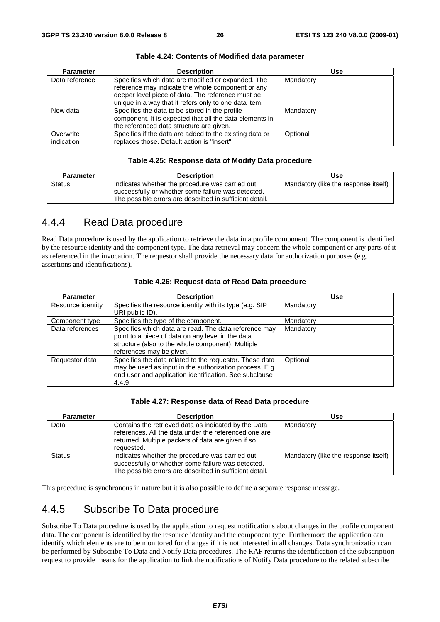| <b>Parameter</b> | <b>Description</b>                                                                                                                                                                                                    | Use       |
|------------------|-----------------------------------------------------------------------------------------------------------------------------------------------------------------------------------------------------------------------|-----------|
| Data reference   | Specifies which data are modified or expanded. The<br>reference may indicate the whole component or any<br>deeper level piece of data. The reference must be<br>unique in a way that it refers only to one data item. | Mandatory |
| New data         | Specifies the data to be stored in the profile<br>component. It is expected that all the data elements in<br>the referenced data structure are given.                                                                 | Mandatory |
| Overwrite        | Specifies if the data are added to the existing data or                                                                                                                                                               | Optional  |
| indication       | replaces those. Default action is "insert".                                                                                                                                                                           |           |

**Table 4.24: Contents of Modified data parameter** 

#### **Table 4.25: Response data of Modify Data procedure**

| <b>Parameter</b> | <b>Description</b>                                                                                                                                               | Use                                  |
|------------------|------------------------------------------------------------------------------------------------------------------------------------------------------------------|--------------------------------------|
| <b>Status</b>    | Indicates whether the procedure was carried out<br>successfully or whether some failure was detected.<br>The possible errors are described in sufficient detail. | Mandatory (like the response itself) |

### 4.4.4 Read Data procedure

Read Data procedure is used by the application to retrieve the data in a profile component. The component is identified by the resource identity and the component type. The data retrieval may concern the whole component or any parts of it as referenced in the invocation. The requestor shall provide the necessary data for authorization purposes (e.g. assertions and identifications).

| <b>Parameter</b>  | <b>Description</b>                                                                                                                                                                          | <b>Use</b> |
|-------------------|---------------------------------------------------------------------------------------------------------------------------------------------------------------------------------------------|------------|
| Resource identity | Specifies the resource identity with its type (e.g. SIP<br>URI public ID).                                                                                                                  | Mandatory  |
| Component type    | Specifies the type of the component.                                                                                                                                                        | Mandatory  |
| Data references   | Specifies which data are read. The data reference may<br>point to a piece of data on any level in the data<br>structure (also to the whole component). Multiple<br>references may be given. | Mandatory  |
| Requestor data    | Specifies the data related to the requestor. These data<br>may be used as input in the authorization process. E.g.<br>end user and application identification. See subclause<br>4.4.9.      | Optional   |

#### **Table 4.26: Request data of Read Data procedure**

#### **Table 4.27: Response data of Read Data procedure**

| <b>Parameter</b> | <b>Description</b>                                                                                                                                                                | Use                                  |
|------------------|-----------------------------------------------------------------------------------------------------------------------------------------------------------------------------------|--------------------------------------|
| Data             | Contains the retrieved data as indicated by the Data<br>references. All the data under the referenced one are<br>returned. Multiple packets of data are given if so<br>requested. | Mandatory                            |
| <b>Status</b>    | Indicates whether the procedure was carried out<br>successfully or whether some failure was detected.<br>The possible errors are described in sufficient detail.                  | Mandatory (like the response itself) |

This procedure is synchronous in nature but it is also possible to define a separate response message.

### 4.4.5 Subscribe To Data procedure

Subscribe To Data procedure is used by the application to request notifications about changes in the profile component data. The component is identified by the resource identity and the component type. Furthermore the application can identify which elements are to be monitored for changes if it is not interested in all changes. Data synchronization can be performed by Subscribe To Data and Notify Data procedures. The RAF returns the identification of the subscription request to provide means for the application to link the notifications of Notify Data procedure to the related subscribe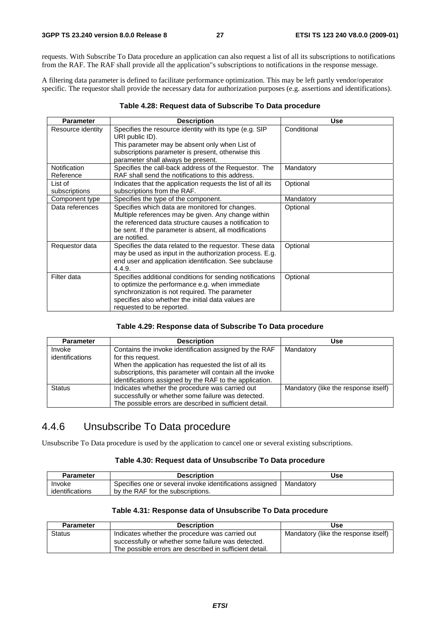requests. With Subscribe To Data procedure an application can also request a list of all its subscriptions to notifications from the RAF. The RAF shall provide all the application"s subscriptions to notifications in the response message.

A filtering data parameter is defined to facilitate performance optimization. This may be left partly vendor/operator specific. The requestor shall provide the necessary data for authorization purposes (e.g. assertions and identifications).

#### **Table 4.28: Request data of Subscribe To Data procedure**

| <b>Parameter</b>          | <b>Description</b>                                                                                                                                                                                                                                | <b>Use</b>  |
|---------------------------|---------------------------------------------------------------------------------------------------------------------------------------------------------------------------------------------------------------------------------------------------|-------------|
| Resource identity         | Specifies the resource identity with its type (e.g. SIP<br>URI public ID).<br>This parameter may be absent only when List of<br>subscriptions parameter is present, otherwise this<br>parameter shall always be present.                          | Conditional |
| Notification<br>Reference | Specifies the call-back address of the Requestor. The<br>RAF shall send the notifications to this address.                                                                                                                                        | Mandatory   |
| List of<br>subscriptions  | Indicates that the application requests the list of all its<br>subscriptions from the RAF.                                                                                                                                                        | Optional    |
| Component type            | Specifies the type of the component.                                                                                                                                                                                                              | Mandatory   |
| Data references           | Specifies which data are monitored for changes.<br>Multiple references may be given. Any change within<br>the referenced data structure causes a notification to<br>be sent. If the parameter is absent, all modifications<br>are notified.       | Optional    |
| Requestor data            | Specifies the data related to the requestor. These data<br>may be used as input in the authorization process. E.g.<br>end user and application identification. See subclause<br>4.4.9.                                                            | Optional    |
| Filter data               | Specifies additional conditions for sending notifications<br>to optimize the performance e.g. when immediate<br>synchronization is not required. The parameter<br>specifies also whether the initial data values are<br>requested to be reported. | Optional    |

#### **Table 4.29: Response data of Subscribe To Data procedure**

| <b>Parameter</b> | <b>Description</b>                                        | Use                                  |
|------------------|-----------------------------------------------------------|--------------------------------------|
| Invoke           | Contains the invoke identification assigned by the RAF    | Mandatory                            |
| identifications  | for this request.                                         |                                      |
|                  | When the application has requested the list of all its    |                                      |
|                  | subscriptions, this parameter will contain all the invoke |                                      |
|                  | identifications assigned by the RAF to the application.   |                                      |
| <b>Status</b>    | Indicates whether the procedure was carried out           | Mandatory (like the response itself) |
|                  | successfully or whether some failure was detected.        |                                      |
|                  | The possible errors are described in sufficient detail.   |                                      |

### 4.4.6 Unsubscribe To Data procedure

Unsubscribe To Data procedure is used by the application to cancel one or several existing subscriptions.

#### **Table 4.30: Request data of Unsubscribe To Data procedure**

| <b>Parameter</b> | <b>Description</b>                                       | Use       |
|------------------|----------------------------------------------------------|-----------|
| Invoke           | Specifies one or several invoke identifications assigned | Mandatorv |
| identifications  | by the RAF for the subscriptions.                        |           |

#### **Table 4.31: Response data of Unsubscribe To Data procedure**

| <b>Parameter</b> | <b>Description</b>                                                                                    | Use                                  |
|------------------|-------------------------------------------------------------------------------------------------------|--------------------------------------|
| <b>Status</b>    | Indicates whether the procedure was carried out<br>successfully or whether some failure was detected. | Mandatory (like the response itself) |
|                  | The possible errors are described in sufficient detail.                                               |                                      |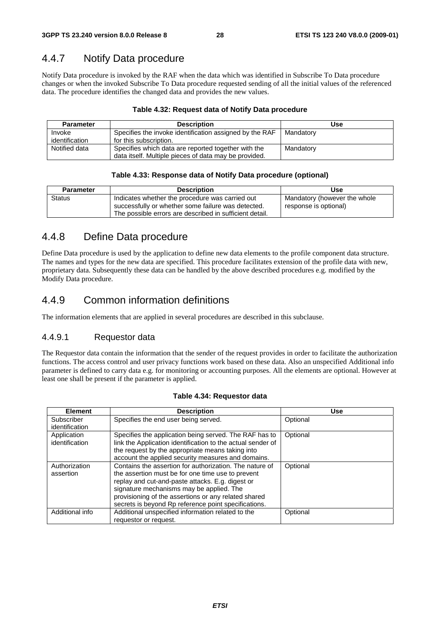### 4.4.7 Notify Data procedure

Notify Data procedure is invoked by the RAF when the data which was identified in Subscribe To Data procedure changes or when the invoked Subscribe To Data procedure requested sending of all the initial values of the referenced data. The procedure identifies the changed data and provides the new values.

#### **Table 4.32: Request data of Notify Data procedure**

| <b>Parameter</b> | <b>Description</b>                                      | Use       |
|------------------|---------------------------------------------------------|-----------|
| Invoke           | Specifies the invoke identification assigned by the RAF | Mandatory |
| identification   | for this subscription.                                  |           |
| Notified data    | Specifies which data are reported together with the     | Mandatory |
|                  | data itself. Multiple pieces of data may be provided.   |           |

#### **Table 4.33: Response data of Notify Data procedure (optional)**

| <b>Parameter</b> | <b>Description</b>                                                                                                                                               | Use                                                   |
|------------------|------------------------------------------------------------------------------------------------------------------------------------------------------------------|-------------------------------------------------------|
| Status           | Indicates whether the procedure was carried out<br>successfully or whether some failure was detected.<br>The possible errors are described in sufficient detail. | Mandatory (however the whole<br>response is optional) |

### 4.4.8 Define Data procedure

Define Data procedure is used by the application to define new data elements to the profile component data structure. The names and types for the new data are specified. This procedure facilitates extension of the profile data with new, proprietary data. Subsequently these data can be handled by the above described procedures e.g. modified by the Modify Data procedure.

### 4.4.9 Common information definitions

The information elements that are applied in several procedures are described in this subclause.

### 4.4.9.1 Requestor data

The Requestor data contain the information that the sender of the request provides in order to facilitate the authorization functions. The access control and user privacy functions work based on these data. Also an unspecified Additional info parameter is defined to carry data e.g. for monitoring or accounting purposes. All the elements are optional. However at least one shall be present if the parameter is applied.

| <b>Element</b>  | <b>Description</b>                                          | <b>Use</b> |
|-----------------|-------------------------------------------------------------|------------|
| Subscriber      | Specifies the end user being served.                        | Optional   |
| identification  |                                                             |            |
| Application     | Specifies the application being served. The RAF has to      | Optional   |
| identification  | link the Application identification to the actual sender of |            |
|                 | the request by the appropriate means taking into            |            |
|                 | account the applied security measures and domains.          |            |
| Authorization   | Contains the assertion for authorization. The nature of     | Optional   |
| assertion       | the assertion must be for one time use to prevent           |            |
|                 | replay and cut-and-paste attacks. E.g. digest or            |            |
|                 | signature mechanisms may be applied. The                    |            |
|                 | provisioning of the assertions or any related shared        |            |
|                 | secrets is beyond Rp reference point specifications.        |            |
| Additional info | Additional unspecified information related to the           | Optional   |
|                 | requestor or request.                                       |            |

#### **Table 4.34: Requestor data**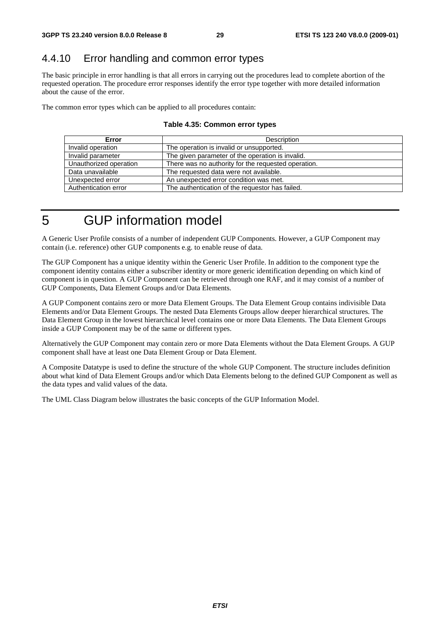### 4.4.10 Error handling and common error types

The basic principle in error handling is that all errors in carrying out the procedures lead to complete abortion of the requested operation. The procedure error responses identify the error type together with more detailed information about the cause of the error.

The common error types which can be applied to all procedures contain:

#### **Table 4.35: Common error types**

| Error                  | <b>Description</b>                                  |
|------------------------|-----------------------------------------------------|
| Invalid operation      | The operation is invalid or unsupported.            |
| Invalid parameter      | The given parameter of the operation is invalid.    |
| Unauthorized operation | There was no authority for the requested operation. |
| Data unavailable       | The requested data were not available.              |
| Unexpected error       | An unexpected error condition was met.              |
| Authentication error   | The authentication of the requestor has failed.     |

5 GUP information model

A Generic User Profile consists of a number of independent GUP Components. However, a GUP Component may contain (i.e. reference) other GUP components e.g. to enable reuse of data.

The GUP Component has a unique identity within the Generic User Profile. In addition to the component type the component identity contains either a subscriber identity or more generic identification depending on which kind of component is in question. A GUP Component can be retrieved through one RAF, and it may consist of a number of GUP Components, Data Element Groups and/or Data Elements.

A GUP Component contains zero or more Data Element Groups. The Data Element Group contains indivisible Data Elements and/or Data Element Groups. The nested Data Elements Groups allow deeper hierarchical structures. The Data Element Group in the lowest hierarchical level contains one or more Data Elements. The Data Element Groups inside a GUP Component may be of the same or different types.

Alternatively the GUP Component may contain zero or more Data Elements without the Data Element Groups. A GUP component shall have at least one Data Element Group or Data Element.

A Composite Datatype is used to define the structure of the whole GUP Component. The structure includes definition about what kind of Data Element Groups and/or which Data Elements belong to the defined GUP Component as well as the data types and valid values of the data.

The UML Class Diagram below illustrates the basic concepts of the GUP Information Model.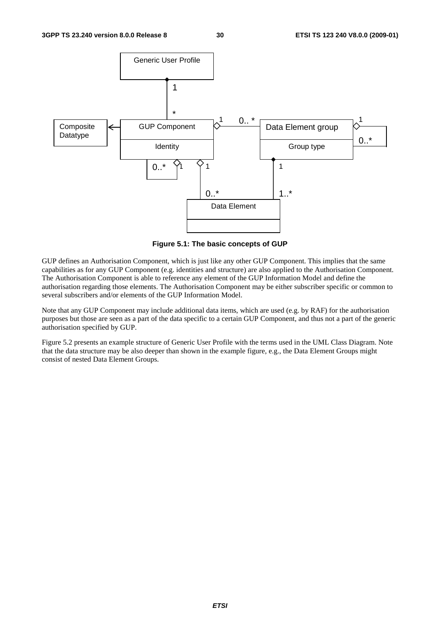

**Figure 5.1: The basic concepts of GUP** 

GUP defines an Authorisation Component, which is just like any other GUP Component. This implies that the same capabilities as for any GUP Component (e.g. identities and structure) are also applied to the Authorisation Component. The Authorisation Component is able to reference any element of the GUP Information Model and define the authorisation regarding those elements. The Authorisation Component may be either subscriber specific or common to several subscribers and/or elements of the GUP Information Model.

Note that any GUP Component may include additional data items, which are used (e.g. by RAF) for the authorisation purposes but those are seen as a part of the data specific to a certain GUP Component, and thus not a part of the generic authorisation specified by GUP.

Figure 5.2 presents an example structure of Generic User Profile with the terms used in the UML Class Diagram. Note that the data structure may be also deeper than shown in the example figure, e.g., the Data Element Groups might consist of nested Data Element Groups.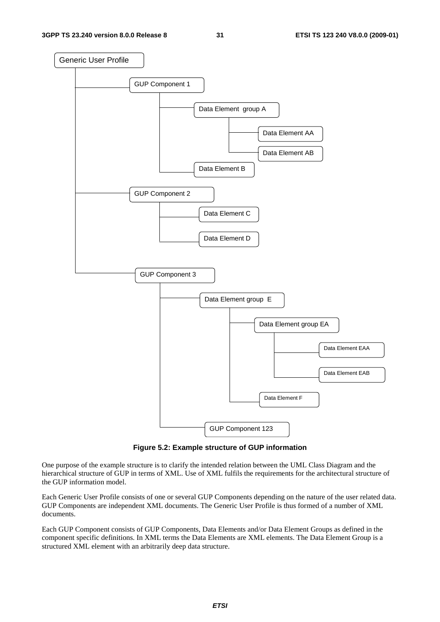

**Figure 5.2: Example structure of GUP information** 

One purpose of the example structure is to clarify the intended relation between the UML Class Diagram and the hierarchical structure of GUP in terms of XML. Use of XML fulfils the requirements for the architectural structure of the GUP information model.

Each Generic User Profile consists of one or several GUP Components depending on the nature of the user related data. GUP Components are independent XML documents. The Generic User Profile is thus formed of a number of XML documents.

Each GUP Component consists of GUP Components, Data Elements and/or Data Element Groups as defined in the component specific definitions. In XML terms the Data Elements are XML elements. The Data Element Group is a structured XML element with an arbitrarily deep data structure.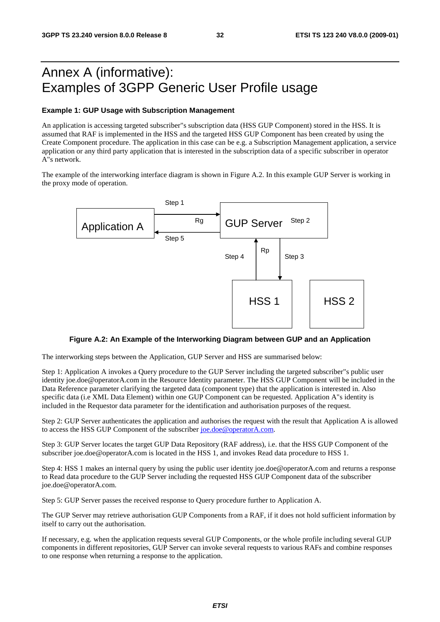# Annex A (informative): Examples of 3GPP Generic User Profile usage

#### **Example 1: GUP Usage with Subscription Management**

An application is accessing targeted subscriber"s subscription data (HSS GUP Component) stored in the HSS. It is assumed that RAF is implemented in the HSS and the targeted HSS GUP Component has been created by using the Create Component procedure. The application in this case can be e.g. a Subscription Management application, a service application or any third party application that is interested in the subscription data of a specific subscriber in operator A"s network.

The example of the interworking interface diagram is shown in Figure A.2. In this example GUP Server is working in the proxy mode of operation.



#### **Figure A.2: An Example of the Interworking Diagram between GUP and an Application**

The interworking steps between the Application, GUP Server and HSS are summarised below:

Step 1: Application A invokes a Query procedure to the GUP Server including the targeted subscriber"s public user identity joe.doe@operatorA.com in the Resource Identity parameter. The HSS GUP Component will be included in the Data Reference parameter clarifying the targeted data (component type) that the application is interested in. Also specific data (i.e XML Data Element) within one GUP Component can be requested. Application A"s identity is included in the Requestor data parameter for the identification and authorisation purposes of the request.

Step 2: GUP Server authenticates the application and authorises the request with the result that Application A is allowed to access the HSS GUP Component of the subscriber [joe.doe@operatorA.com.](mailto:joe.doe@operatorA.com)

Step 3: GUP Server locates the target GUP Data Repository (RAF address), i.e. that the HSS GUP Component of the subscriber joe.doe@operatorA.com is located in the HSS 1, and invokes Read data procedure to HSS 1.

Step 4: HSS 1 makes an internal query by using the public user identity joe.doe@operatorA.com and returns a response to Read data procedure to the GUP Server including the requested HSS GUP Component data of the subscriber joe.doe@operatorA.com.

Step 5: GUP Server passes the received response to Query procedure further to Application A.

The GUP Server may retrieve authorisation GUP Components from a RAF, if it does not hold sufficient information by itself to carry out the authorisation.

If necessary, e.g. when the application requests several GUP Components, or the whole profile including several GUP components in different repositories, GUP Server can invoke several requests to various RAFs and combine responses to one response when returning a response to the application.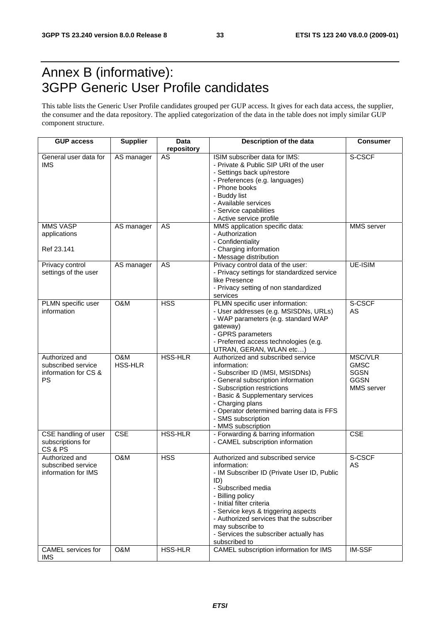# Annex B (informative): 3GPP Generic User Profile candidates

This table lists the Generic User Profile candidates grouped per GUP access. It gives for each data access, the supplier, the consumer and the data repository. The applied categorization of the data in the table does not imply similar GUP component structure.

| <b>GUP access</b>                                                         | <b>Supplier</b>       | <b>Data</b>    | Description of the data                                                                                                                                                                                                                                                                                                                           | <b>Consumer</b>                                                                  |
|---------------------------------------------------------------------------|-----------------------|----------------|---------------------------------------------------------------------------------------------------------------------------------------------------------------------------------------------------------------------------------------------------------------------------------------------------------------------------------------------------|----------------------------------------------------------------------------------|
|                                                                           |                       | repository     |                                                                                                                                                                                                                                                                                                                                                   |                                                                                  |
| General user data for<br><b>IMS</b>                                       | AS manager            | AS             | ISIM subscriber data for IMS:<br>- Private & Public SIP URI of the user<br>- Settings back up/restore<br>- Preferences (e.g. languages)<br>- Phone books<br>- Buddy list                                                                                                                                                                          | S-CSCF                                                                           |
|                                                                           |                       |                | - Available services<br>- Service capabilities<br>- Active service profile                                                                                                                                                                                                                                                                        |                                                                                  |
| MMS VASP<br>applications<br>Ref 23.141                                    | AS manager            | AS             | MMS application specific data:<br>- Authorization<br>- Confidentiality<br>- Charging information                                                                                                                                                                                                                                                  | MMS server                                                                       |
|                                                                           |                       |                | - Message distribution                                                                                                                                                                                                                                                                                                                            |                                                                                  |
| Privacy control<br>settings of the user                                   | AS manager            | AS             | Privacy control data of the user:<br>- Privacy settings for standardized service<br>like Presence<br>- Privacy setting of non standardized<br>services                                                                                                                                                                                            | <b>UE-ISIM</b>                                                                   |
| PLMN specific user<br>information                                         | O&M                   | <b>HSS</b>     | PLMN specific user information:<br>- User addresses (e.g. MSISDNs, URLs)<br>- WAP parameters (e.g. standard WAP<br>gateway)<br>- GPRS parameters<br>- Preferred access technologies (e.g.<br>UTRAN, GERAN, WLAN etc)                                                                                                                              | S-CSCF<br>AS                                                                     |
| Authorized and<br>subscribed service<br>information for CS &<br><b>PS</b> | O&M<br><b>HSS-HLR</b> | <b>HSS-HLR</b> | Authorized and subscribed service<br>information:<br>- Subscriber ID (IMSI, MSISDNs)<br>- General subscription information<br>- Subscription restrictions<br>- Basic & Supplementary services<br>- Charging plans<br>- Operator determined barring data is FFS<br>- SMS subscription<br>- MMS subscription                                        | <b>MSC/VLR</b><br><b>GMSC</b><br><b>SGSN</b><br><b>GGSN</b><br><b>MMS</b> server |
| CSE handling of user<br>subscriptions for<br>CS&PS                        | <b>CSE</b>            | <b>HSS-HLR</b> | - Forwarding & barring information<br>- CAMEL subscription information                                                                                                                                                                                                                                                                            | CSE                                                                              |
| Authorized and<br>subscribed service<br>information for IMS               | O&M                   | <b>HSS</b>     | Authorized and subscribed service<br>information:<br>- IM Subscriber ID (Private User ID, Public<br>ID)<br>- Subscribed media<br>- Billing policy<br>- Initial filter criteria<br>- Service keys & triggering aspects<br>- Authorized services that the subscriber<br>may subscribe to<br>- Services the subscriber actually has<br>subscribed to | S-CSCF<br>AS                                                                     |
| CAMEL services for<br><b>IMS</b>                                          | O&M                   | HSS-HLR        | CAMEL subscription information for IMS                                                                                                                                                                                                                                                                                                            | IM-SSF                                                                           |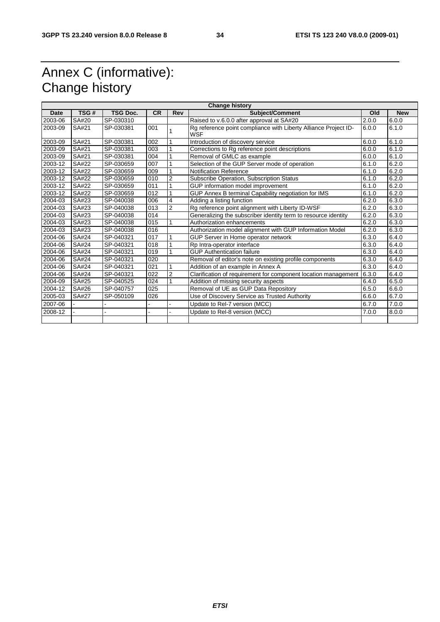# Annex C (informative): Change history

| <b>Change history</b> |              |                 |           |                |                                                                               |       |            |
|-----------------------|--------------|-----------------|-----------|----------------|-------------------------------------------------------------------------------|-------|------------|
| <b>Date</b>           | TSG#         | <b>TSG Doc.</b> | <b>CR</b> | Rev            | Subject/Comment                                                               | Old   | <b>New</b> |
| 2003-06               | SA#20        | SP-030310       |           |                | Raised to v.6.0.0 after approval at SA#20                                     | 2.0.0 | 6.0.0      |
| 2003-09               | SA#21        | SP-030381       | 001       |                | Rg reference point compliance with Liberty Alliance Project ID-<br><b>WSF</b> | 6.0.0 | 6.1.0      |
| 2003-09               | SA#21        | SP-030381       | 002       |                | Introduction of discovery service                                             | 6.0.0 | 6.1.0      |
| 2003-09               | SA#21        | SP-030381       | 003       | 1              | Corrections to Rg reference point descriptions                                | 6.0.0 | 6.1.0      |
| 2003-09               | SA#21        | SP-030381       | 004       |                | Removal of GMLC as example                                                    | 6.0.0 | 6.1.0      |
| $2003 - 12$           | SA#22        | SP-030659       | 007       |                | Selection of the GUP Server mode of operation                                 | 6.1.0 | 6.2.0      |
| 2003-12               | SA#22        | SP-030659       | 009       |                | <b>Notification Reference</b>                                                 | 6.1.0 | 6.2.0      |
| 2003-12               | SA#22        | SP-030659       | 010       | $\overline{2}$ | Subscribe Operation, Subscription Status                                      | 6.1.0 | 6.2.0      |
| 2003-12               | SA#22        | SP-030659       | 011       |                | GUP information model improvement                                             | 6.1.0 | 6.2.0      |
| 2003-12               | SA#22        | SP-030659       | 012       |                | GUP Annex B terminal Capability negotiation for IMS                           | 6.1.0 | 6.2.0      |
| 2004-03               | SA#23        | SP-040038       | 006       | 4              | Adding a listing function                                                     | 6.2.0 | 6.3.0      |
| 2004-03               | SA#23        | SP-040038       | 013       | $\overline{2}$ | Rg reference point alignment with Liberty ID-WSF                              | 6.2.0 | 6.3.0      |
| 2004-03               | SA#23        | SP-040038       | 014       |                | Generalizing the subscriber identity term to resource identity                | 6.2.0 | 6.3.0      |
| 2004-03               | SA#23        | SP-040038       | 015       | 1              | Authorization enhancements                                                    | 6.2.0 | 6.3.0      |
| 2004-03               | SA#23        | SP-040038       | 016       |                | Authorization model alignment with GUP Information Model                      | 6.2.0 | 6.3.0      |
| 2004-06               | SA#24        | SP-040321       | 017       |                | <b>GUP Server in Home operator network</b>                                    | 6.3.0 | 6.4.0      |
| 2004-06               | SA#24        | SP-040321       | 018       |                | Rp Intra-operator interface                                                   | 6.3.0 | 6.4.0      |
| 2004-06               | SA#24        | SP-040321       | 019       |                | <b>GUP Authentication failure</b>                                             | 6.3.0 | 6.4.0      |
| 2004-06               | SA#24        | SP-040321       | 020       |                | Removal of editor's note on existing profile components                       | 6.3.0 | 6.4.0      |
| 2004-06               | SA#24        | SP-040321       | 021       | 1              | Addition of an example in Annex A                                             | 6.3.0 | 6.4.0      |
| 2004-06               | SA#24        | SP-040321       | 022       | $\overline{2}$ | Clarification of requirement for component location management                | 6.3.0 | 6.4.0      |
| 2004-09               | SA#25        | SP-040525       | 024       |                | Addition of missing security aspects                                          | 6.4.0 | 6.5.0      |
| 2004-12               | SA#26        | SP-040757       | 025       |                | Removal of UE as GUP Data Repository                                          | 6.5.0 | 6.6.0      |
| 2005-03               | <b>SA#27</b> | SP-050109       | 026       |                | Use of Discovery Service as Trusted Authority                                 | 6.6.0 | 6.7.0      |
| 2007-06               |              |                 |           |                | Update to Rel-7 version (MCC)                                                 | 6.7.0 | 7.0.0      |
| 2008-12               |              |                 |           |                | Update to Rel-8 version (MCC)                                                 | 7.0.0 | 8.0.0      |
|                       |              |                 |           |                |                                                                               |       |            |